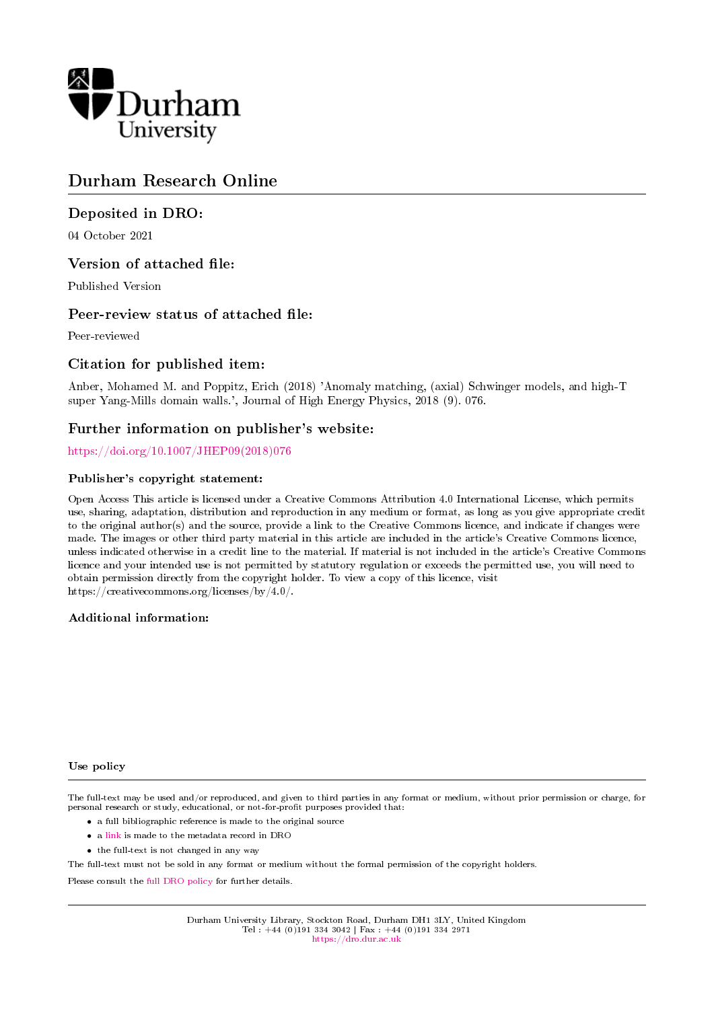

## Durham Research Online

## Deposited in DRO:

04 October 2021

## Version of attached file:

Published Version

## Peer-review status of attached file:

Peer-reviewed

## Citation for published item:

Anber, Mohamed M. and Poppitz, Erich (2018) 'Anomaly matching, (axial) Schwinger models, and high-T super Yang-Mills domain walls.', Journal of High Energy Physics, 2018 (9). 076.

## Further information on publisher's website:

[https://doi.org/10.1007/JHEP09\(2018\)076](https://doi.org/10.1007/JHEP09(2018)076)

## Publisher's copyright statement:

Open Access This article is licensed under a Creative Commons Attribution 4.0 International License, which permits use, sharing, adaptation, distribution and reproduction in any medium or format, as long as you give appropriate credit to the original author(s) and the source, provide a link to the Creative Commons licence, and indicate if changes were made. The images or other third party material in this article are included in the article's Creative Commons licence, unless indicated otherwise in a credit line to the material. If material is not included in the article's Creative Commons licence and your intended use is not permitted by statutory regulation or exceeds the permitted use, you will need to obtain permission directly from the copyright holder. To view a copy of this licence, visit https://creativecommons.org/licenses/by/4.0/.

### Additional information:

#### Use policy

The full-text may be used and/or reproduced, and given to third parties in any format or medium, without prior permission or charge, for personal research or study, educational, or not-for-profit purposes provided that:

- a full bibliographic reference is made to the original source
- a [link](http://dro.dur.ac.uk/34044/) is made to the metadata record in DRO
- the full-text is not changed in any way

The full-text must not be sold in any format or medium without the formal permission of the copyright holders.

Please consult the [full DRO policy](https://dro.dur.ac.uk/policies/usepolicy.pdf) for further details.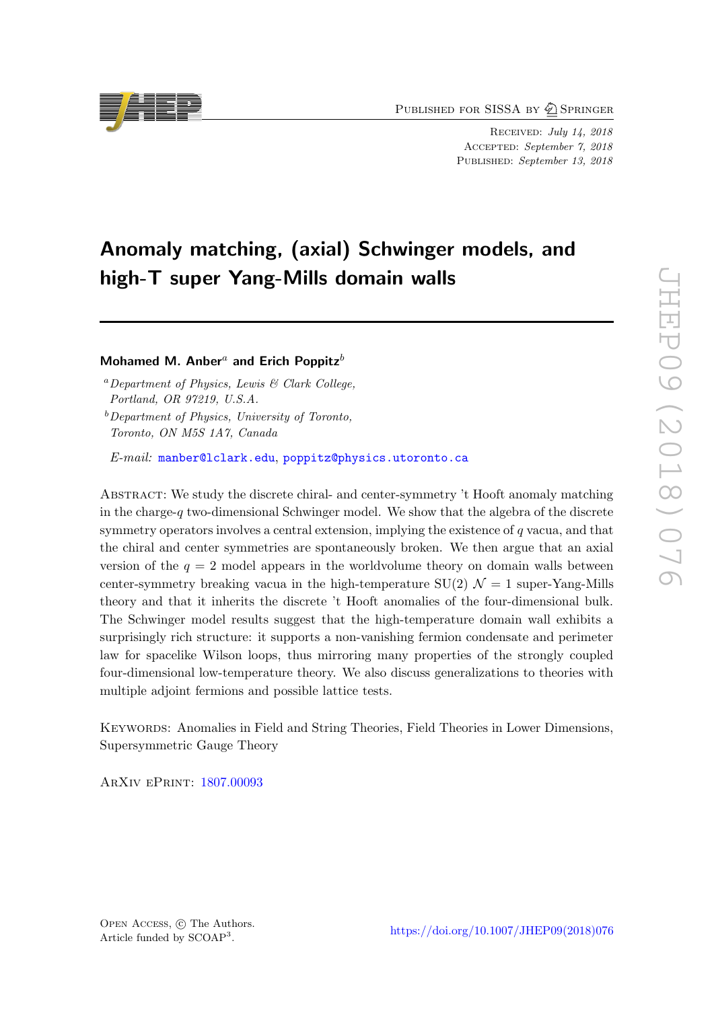PUBLISHED FOR SISSA BY  $\bigcirc$  Springer

Received: July 14, 2018 ACCEPTED: September 7, 2018 PUBLISHED: September 13, 2018

# Anomaly matching, (axial) Schwinger models, and high-T super Yang-Mills domain walls

## Mohamed M. Anber<sup>a</sup> and Erich Poppitz<sup>b</sup>

<sup>a</sup>Department of Physics, Lewis  $\mathcal{B}$  Clark College, Portland, OR 97219, U.S.A.

 $b$  Department of Physics, University of Toronto, Toronto, ON M5S 1A7, Canada

E-mail: [manber@lclark.edu](mailto:manber@lclark.edu), [poppitz@physics.utoronto.ca](mailto:poppitz@physics.utoronto.ca)

Abstract: We study the discrete chiral- and center-symmetry 't Hooft anomaly matching in the charge- $q$  two-dimensional Schwinger model. We show that the algebra of the discrete symmetry operators involves a central extension, implying the existence of q vacua, and that the chiral and center symmetries are spontaneously broken. We then argue that an axial version of the  $q = 2$  model appears in the worldvolume theory on domain walls between center-symmetry breaking vacua in the high-temperature  $SU(2)$   $\mathcal{N}=1$  super-Yang-Mills theory and that it inherits the discrete 't Hooft anomalies of the four-dimensional bulk. The Schwinger model results suggest that the high-temperature domain wall exhibits a surprisingly rich structure: it supports a non-vanishing fermion condensate and perimeter law for spacelike Wilson loops, thus mirroring many properties of the strongly coupled four-dimensional low-temperature theory. We also discuss generalizations to theories with multiple adjoint fermions and possible lattice tests.

Keywords: Anomalies in Field and String Theories, Field Theories in Lower Dimensions, Supersymmetric Gauge Theory

ArXiv ePrint: [1807.00093](https://arxiv.org/abs/1807.00093)

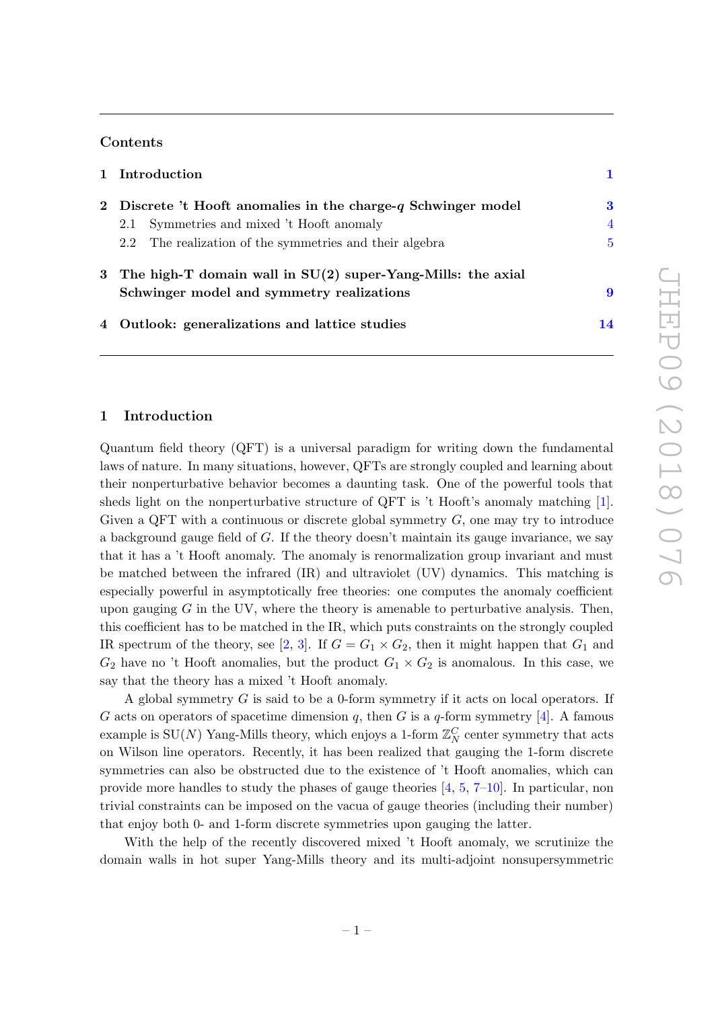## Contents

|  | 1 Introduction                                                   |                |
|--|------------------------------------------------------------------|----------------|
|  | 2 Discrete 't Hooft anomalies in the charge- $q$ Schwinger model | 3              |
|  | Symmetries and mixed 't Hooft anomaly<br>2.1                     | $\overline{4}$ |
|  | 2.2 The realization of the symmetries and their algebra          | 5              |
|  | 3 The high-T domain wall in $SU(2)$ super-Yang-Mills: the axial  |                |
|  | Schwinger model and symmetry realizations                        | 9              |
|  | 4 Outlook: generalizations and lattice studies                   | 14             |
|  |                                                                  |                |

#### <span id="page-2-0"></span>1 Introduction

Quantum field theory (QFT) is a universal paradigm for writing down the fundamental laws of nature. In many situations, however, QFTs are strongly coupled and learning about their nonperturbative behavior becomes a daunting task. One of the powerful tools that sheds light on the nonperturbative structure of QFT is 't Hooft's anomaly matching [\[1\]](#page-17-0). Given a QFT with a continuous or discrete global symmetry  $G$ , one may try to introduce a background gauge field of G. If the theory doesn't maintain its gauge invariance, we say that it has a 't Hooft anomaly. The anomaly is renormalization group invariant and must be matched between the infrared (IR) and ultraviolet (UV) dynamics. This matching is especially powerful in asymptotically free theories: one computes the anomaly coefficient upon gauging  $G$  in the UV, where the theory is amenable to perturbative analysis. Then, this coefficient has to be matched in the IR, which puts constraints on the strongly coupled IR spectrum of the theory, see [\[2,](#page-17-1) [3\]](#page-17-2). If  $G = G_1 \times G_2$ , then it might happen that  $G_1$  and  $G_2$  have no 't Hooft anomalies, but the product  $G_1 \times G_2$  is anomalous. In this case, we say that the theory has a mixed 't Hooft anomaly.

A global symmetry G is said to be a 0-form symmetry if it acts on local operators. If G acts on operators of spacetime dimension q, then G is a q-form symmetry [\[4\]](#page-17-3). A famous example is  $\mathrm{SU}(N)$  Yang-Mills theory, which enjoys a 1-form  $\mathbb{Z}_N^C$  center symmetry that acts on Wilson line operators. Recently, it has been realized that gauging the 1-form discrete symmetries can also be obstructed due to the existence of 't Hooft anomalies, which can provide more handles to study the phases of gauge theories [\[4,](#page-17-3) [5,](#page-17-4) [7](#page-17-5)[–10\]](#page-17-6). In particular, non trivial constraints can be imposed on the vacua of gauge theories (including their number) that enjoy both 0- and 1-form discrete symmetries upon gauging the latter.

With the help of the recently discovered mixed 't Hooft anomaly, we scrutinize the domain walls in hot super Yang-Mills theory and its multi-adjoint nonsupersymmetric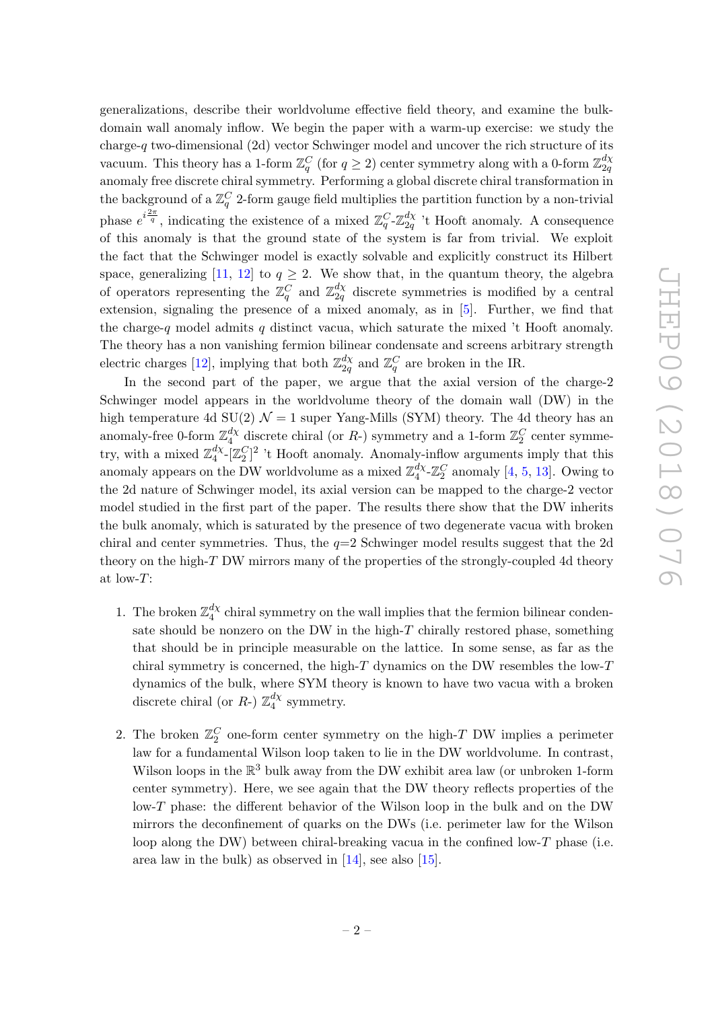generalizations, describe their worldvolume effective field theory, and examine the bulkdomain wall anomaly inflow. We begin the paper with a warm-up exercise: we study the charge-q two-dimensional (2d) vector Schwinger model and uncover the rich structure of its vacuum. This theory has a 1-form  $\mathbb{Z}_q^C$  (for  $q \ge 2$ ) center symmetry along with a 0-form  $\mathbb{Z}_{2q}^{d\chi}$  $2q$ anomaly free discrete chiral symmetry. Performing a global discrete chiral transformation in the background of a  $\mathbb{Z}_q^C$  2-form gauge field multiplies the partition function by a non-trivial phase  $e^{i\frac{2\pi}{q}}$ , indicating the existence of a mixed  $\mathbb{Z}_q^C$ - $\mathbb{Z}_{2q}^{d\chi}$  $\frac{dX}{2q}$ 't Hooft anomaly. A consequence of this anomaly is that the ground state of the system is far from trivial. We exploit the fact that the Schwinger model is exactly solvable and explicitly construct its Hilbert space, generalizing [\[11,](#page-17-7) [12\]](#page-17-8) to  $q \geq 2$ . We show that, in the quantum theory, the algebra of operators representing the  $\mathbb{Z}_q^C$  and  $\mathbb{Z}_{2q}^{d\chi}$  $\frac{a_X}{2q}$  discrete symmetries is modified by a central extension, signaling the presence of a mixed anomaly, as in  $[5]$ . Further, we find that the charge-q model admits q distinct vacua, which saturate the mixed 't Hooft anomaly. The theory has a non vanishing fermion bilinear condensate and screens arbitrary strength electric charges [\[12\]](#page-17-8), implying that both  $\mathbb{Z}_{2a}^{d\chi}$  $\frac{d\chi}{2q}$  and  $\mathbb{Z}_q^C$  are broken in the IR.

In the second part of the paper, we argue that the axial version of the charge-2 Schwinger model appears in the worldvolume theory of the domain wall (DW) in the high temperature 4d SU(2)  $\mathcal{N} = 1$  super Yang-Mills (SYM) theory. The 4d theory has an anomaly-free 0-form  $\mathbb{Z}_4^{d\chi}$  $\frac{d\chi}{4}$  discrete chiral (or R-) symmetry and a 1-form  $\mathbb{Z}_2^C$  center symmetry, with a mixed  $\mathbb{Z}_4^{d\chi}$  $\frac{d\chi}{4}$ - $[\mathbb{Z}_2^C]^2$  't Hooft anomaly. Anomaly-inflow arguments imply that this anomaly appears on the DW worldvolume as a mixed  $\mathbb{Z}_4^{d\chi}$  $\frac{d\chi}{4}$ - $\mathbb{Z}_2^C$  anomaly [\[4,](#page-17-3) [5,](#page-17-4) [13\]](#page-17-9). Owing to the 2d nature of Schwinger model, its axial version can be mapped to the charge-2 vector model studied in the first part of the paper. The results there show that the DW inherits the bulk anomaly, which is saturated by the presence of two degenerate vacua with broken chiral and center symmetries. Thus, the  $q=2$  Schwinger model results suggest that the 2d theory on the high-T DW mirrors many of the properties of the strongly-coupled 4d theory at low-T:

- 1. The broken  $\mathbb{Z}_4^{d\chi}$  $_{4}^{a\chi}$  chiral symmetry on the wall implies that the fermion bilinear condensate should be nonzero on the DW in the high- $T$  chirally restored phase, something that should be in principle measurable on the lattice. In some sense, as far as the chiral symmetry is concerned, the high-T dynamics on the DW resembles the low-T dynamics of the bulk, where SYM theory is known to have two vacua with a broken discrete chiral (or R-)  $\mathbb{Z}_4^{d\chi}$  $\frac{dX}{4}$  symmetry.
- 2. The broken  $\mathbb{Z}_2^C$  one-form center symmetry on the high-T DW implies a perimeter law for a fundamental Wilson loop taken to lie in the DW worldvolume. In contrast, Wilson loops in the  $\mathbb{R}^3$  bulk away from the DW exhibit area law (or unbroken 1-form center symmetry). Here, we see again that the DW theory reflects properties of the low-T phase: the different behavior of the Wilson loop in the bulk and on the DW mirrors the deconfinement of quarks on the DWs (i.e. perimeter law for the Wilson loop along the DW) between chiral-breaking vacua in the confined low- $T$  phase (i.e. area law in the bulk) as observed in [\[14\]](#page-17-10), see also [\[15\]](#page-17-11).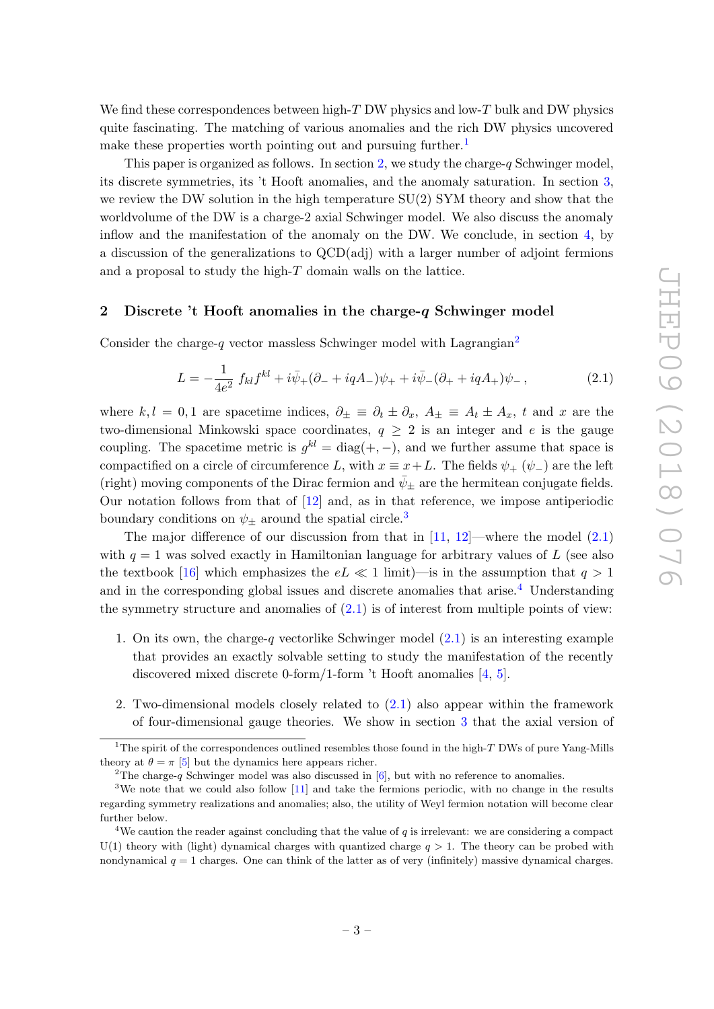We find these correspondences between high- $T$  DW physics and low- $T$  bulk and DW physics quite fascinating. The matching of various anomalies and the rich DW physics uncovered make these properties worth pointing out and pursuing further.<sup>[1](#page-4-1)</sup>

This paper is organized as follows. In section [2,](#page-4-0) we study the charge- $q$  Schwinger model, its discrete symmetries, its 't Hooft anomalies, and the anomaly saturation. In section [3,](#page-10-0) we review the DW solution in the high temperature  $SU(2)$  SYM theory and show that the worldvolume of the DW is a charge-2 axial Schwinger model. We also discuss the anomaly inflow and the manifestation of the anomaly on the DW. We conclude, in section [4,](#page-15-0) by a discussion of the generalizations to QCD(adj) with a larger number of adjoint fermions and a proposal to study the high-T domain walls on the lattice.

### <span id="page-4-0"></span>2 Discrete 't Hooft anomalies in the charge-q Schwinger model

Consider the charge- $q$  vector massless Schwinger model with Lagrangian<sup>[2](#page-4-2)</sup>

<span id="page-4-4"></span>
$$
L = -\frac{1}{4e^2} f_{kl} f^{kl} + i\bar{\psi}_+ (\partial_- + iqA_-)\psi_+ + i\bar{\psi}_-(\partial_+ + iqA_+)\psi_-\,,\tag{2.1}
$$

where  $k, l = 0, 1$  are spacetime indices,  $\partial_{\pm} \equiv \partial_t \pm \partial_x$ ,  $A_{\pm} \equiv A_t \pm A_x$ , t and x are the two-dimensional Minkowski space coordinates,  $q \geq 2$  is an integer and e is the gauge coupling. The spacetime metric is  $g^{kl} = \text{diag}(+,-)$ , and we further assume that space is compactified on a circle of circumference L, with  $x \equiv x+L$ . The fields  $\psi_+(\psi_-)$  are the left (right) moving components of the Dirac fermion and  $\bar{\psi}_{\pm}$  are the hermitean conjugate fields. Our notation follows from that of [\[12\]](#page-17-8) and, as in that reference, we impose antiperiodic boundary conditions on  $\psi_{\pm}$  around the spatial circle.<sup>[3](#page-4-3)</sup>

The major difference of our discussion from that in  $[11, 12]$  $[11, 12]$  $[11, 12]$ —where the model  $(2.1)$ with  $q = 1$  was solved exactly in Hamiltonian language for arbitrary values of L (see also the textbook [\[16\]](#page-18-0) which emphasizes the  $eL \ll 1$  limit)—is in the assumption that  $q > 1$ and in the corresponding global issues and discrete anomalies that arise.<sup>[4](#page-4-5)</sup> Understanding the symmetry structure and anomalies of  $(2.1)$  is of interest from multiple points of view:

- 1. On its own, the charge-q vectorlike Schwinger model  $(2.1)$  is an interesting example that provides an exactly solvable setting to study the manifestation of the recently discovered mixed discrete 0-form/1-form 't Hooft anomalies [\[4,](#page-17-3) [5\]](#page-17-4).
- 2. Two-dimensional models closely related to [\(2.1\)](#page-4-4) also appear within the framework of four-dimensional gauge theories. We show in section [3](#page-10-0) that the axial version of

<span id="page-4-1"></span><sup>&</sup>lt;sup>1</sup>The spirit of the correspondences outlined resembles those found in the high-T DWs of pure Yang-Mills theory at  $\theta = \pi$  [\[5\]](#page-17-4) but the dynamics here appears richer.

<span id="page-4-3"></span><span id="page-4-2"></span><sup>&</sup>lt;sup>2</sup>The charge-q Schwinger model was also discussed in  $[6]$ , but with no reference to anomalies.

<sup>&</sup>lt;sup>3</sup>We note that we could also follow [\[11\]](#page-17-7) and take the fermions periodic, with no change in the results regarding symmetry realizations and anomalies; also, the utility of Weyl fermion notation will become clear further below.

<span id="page-4-5"></span><sup>&</sup>lt;sup>4</sup>We caution the reader against concluding that the value of  $q$  is irrelevant: we are considering a compact  $U(1)$  theory with (light) dynamical charges with quantized charge  $q > 1$ . The theory can be probed with nondynamical  $q = 1$  charges. One can think of the latter as of very (infinitely) massive dynamical charges.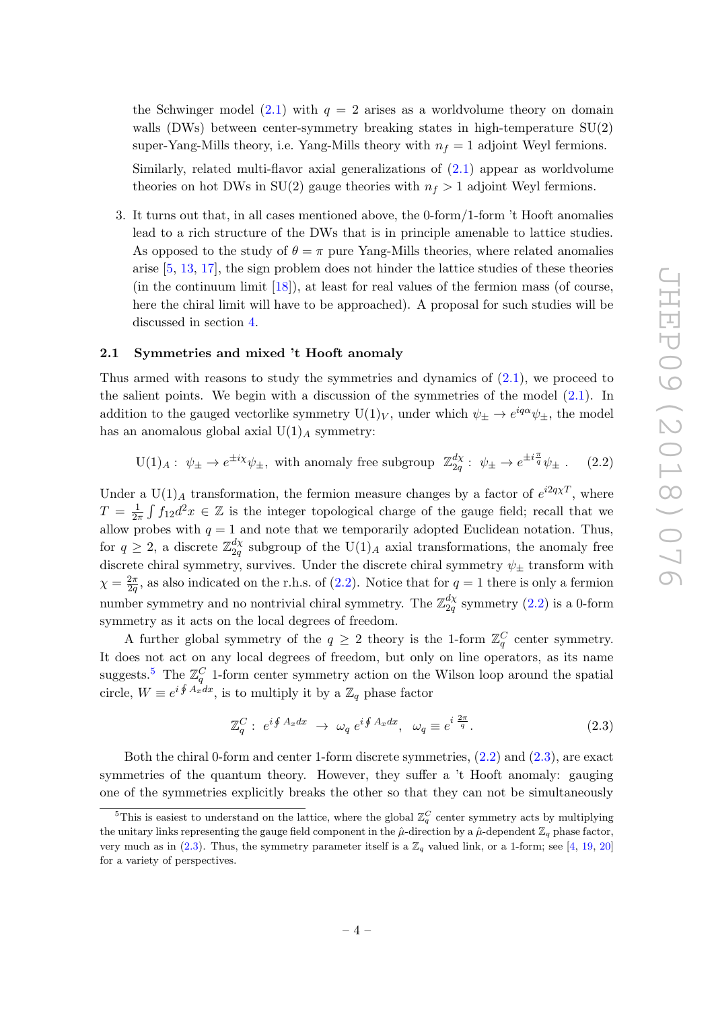the Schwinger model [\(2.1\)](#page-4-4) with  $q = 2$  arises as a worldvolume theory on domain walls (DWs) between center-symmetry breaking states in high-temperature SU(2) super-Yang-Mills theory, i.e. Yang-Mills theory with  $n_f = 1$  adjoint Weyl fermions.

Similarly, related multi-flavor axial generalizations of  $(2.1)$  appear as worldvolume theories on hot DWs in  $SU(2)$  gauge theories with  $n_f > 1$  adjoint Weyl fermions.

3. It turns out that, in all cases mentioned above, the 0-form/1-form 't Hooft anomalies lead to a rich structure of the DWs that is in principle amenable to lattice studies. As opposed to the study of  $\theta = \pi$  pure Yang-Mills theories, where related anomalies arise [\[5,](#page-17-4) [13,](#page-17-9) [17\]](#page-18-1), the sign problem does not hinder the lattice studies of these theories (in the continuum limit  $[18]$ ), at least for real values of the fermion mass (of course, here the chiral limit will have to be approached). A proposal for such studies will be discussed in section [4.](#page-15-0)

#### <span id="page-5-0"></span>2.1 Symmetries and mixed 't Hooft anomaly

Thus armed with reasons to study the symmetries and dynamics of [\(2.1\)](#page-4-4), we proceed to the salient points. We begin with a discussion of the symmetries of the model [\(2.1\)](#page-4-4). In addition to the gauged vectorlike symmetry  $U(1)_V$ , under which  $\psi_{\pm} \to e^{iq\alpha}\psi_{\pm}$ , the model has an anomalous global axial  $U(1)_A$  symmetry:

<span id="page-5-1"></span>
$$
U(1)_A: \psi_{\pm} \to e^{\pm i\chi} \psi_{\pm}, \text{ with anomaly free subgroup } \mathbb{Z}_{2q}^{d\chi}: \psi_{\pm} \to e^{\pm i\frac{\pi}{q}} \psi_{\pm}. \tag{2.2}
$$

Under a U(1)<sub>A</sub> transformation, the fermion measure changes by a factor of  $e^{i2q\chi T}$ , where  $T = \frac{1}{2}$  $\frac{1}{2\pi} \int f_{12} d^2x \in \mathbb{Z}$  is the integer topological charge of the gauge field; recall that we allow probes with  $q = 1$  and note that we temporarily adopted Euclidean notation. Thus, for  $q \geq 2$ , a discrete  $\mathbb{Z}_{2q}^{d\chi}$  $\frac{dX}{2q}$  subgroup of the U(1)<sub>A</sub> axial transformations, the anomaly free discrete chiral symmetry, survives. Under the discrete chiral symmetry  $\psi_{\pm}$  transform with  $\chi = \frac{2\pi}{2a}$  $\frac{2\pi}{2q}$ , as also indicated on the r.h.s. of [\(2.2\)](#page-5-1). Notice that for  $q=1$  there is only a fermion number symmetry and no nontrivial chiral symmetry. The  $\mathbb{Z}_{2a}^{d\chi}$  $\frac{a_X}{2q}$  symmetry  $(2.2)$  is a 0-form symmetry as it acts on the local degrees of freedom.

A further global symmetry of the  $q \geq 2$  theory is the 1-form  $\mathbb{Z}_q^C$  center symmetry. It does not act on any local degrees of freedom, but only on line operators, as its name suggests.<sup>[5](#page-5-2)</sup> The  $\mathbb{Z}_q^C$  1-form center symmetry action on the Wilson loop around the spatial circle,  $W \equiv e^{i \oint A_x dx}$ , is to multiply it by a  $\mathbb{Z}_q$  phase factor

<span id="page-5-3"></span>
$$
\mathbb{Z}_q^C: \ e^{i \oint A_x dx} \to \omega_q \ e^{i \oint A_x dx}, \ \omega_q \equiv e^{i \frac{2\pi}{q}}.
$$
 (2.3)

Both the chiral 0-form and center 1-form discrete symmetries, [\(2.2\)](#page-5-1) and [\(2.3\)](#page-5-3), are exact symmetries of the quantum theory. However, they suffer a 't Hooft anomaly: gauging one of the symmetries explicitly breaks the other so that they can not be simultaneously

<span id="page-5-2"></span><sup>&</sup>lt;sup>5</sup>This is easiest to understand on the lattice, where the global  $\mathbb{Z}_q^C$  center symmetry acts by multiplying the unitary links representing the gauge field component in the  $\hat{\mu}$ -direction by a  $\hat{\mu}$ -dependent  $\mathbb{Z}_q$  phase factor, very much as in  $(2.3)$ . Thus, the symmetry parameter itself is a  $\mathbb{Z}_q$  valued link, or a 1-form; see [\[4,](#page-17-3) [19,](#page-18-3) [20\]](#page-18-4) for a variety of perspectives.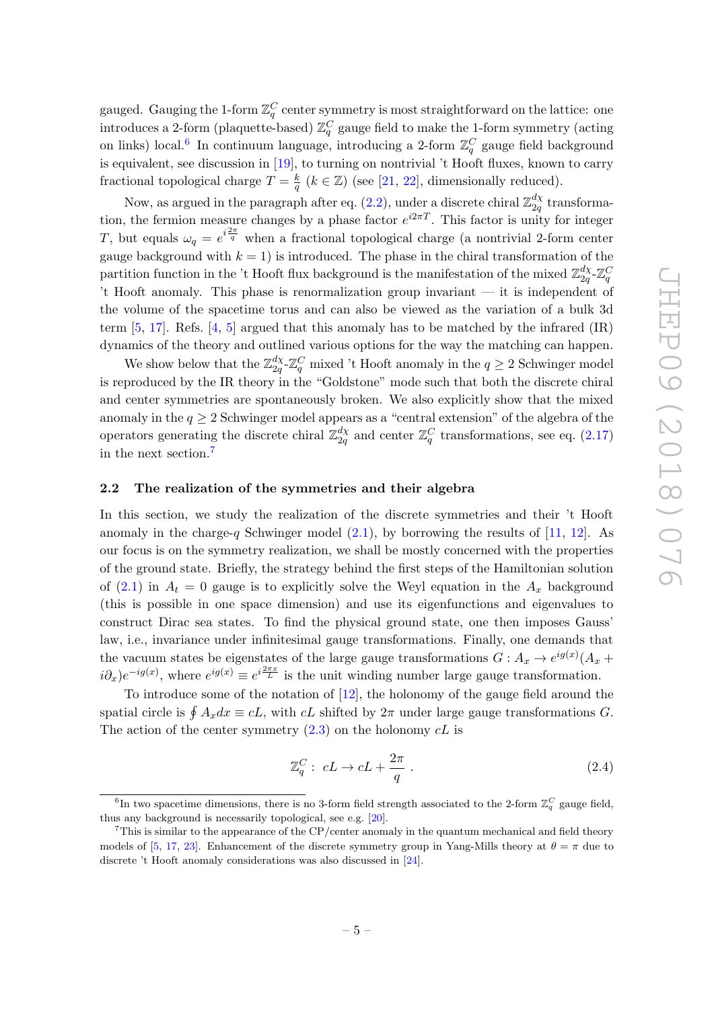gauged. Gauging the 1-form  $\mathbb{Z}_q^C$  center symmetry is most straightforward on the lattice: one introduces a 2-form (plaquette-based)  $\mathbb{Z}_q^C$  gauge field to make the 1-form symmetry (acting on links) local.<sup>[6](#page-6-1)</sup> In continuum language, introducing a 2-form  $\mathbb{Z}_q^C$  gauge field background is equivalent, see discussion in [\[19\]](#page-18-3), to turning on nontrivial 't Hooft fluxes, known to carry fractional topological charge  $T = \frac{k}{a}$  $\frac{k}{q}$  ( $k \in \mathbb{Z}$ ) (see [\[21,](#page-18-5) [22\]](#page-18-6), dimensionally reduced).

Now, as argued in the paragraph after eq.  $(2.2)$ , under a discrete chiral  $\mathbb{Z}_{2a}^{d\chi}$  $\frac{a\chi}{2q}$  transformation, the fermion measure changes by a phase factor  $e^{i2\pi T}$ . This factor is unity for integer T, but equals  $\omega_q = e^{i\frac{2\pi}{q}}$  when a fractional topological charge (a nontrivial 2-form center gauge background with  $k = 1$ ) is introduced. The phase in the chiral transformation of the partition function in the 't Hooft flux background is the manifestation of the mixed  $\mathbb{Z}_{2a}^{d\chi}$  $\frac{d\chi}{2q}$ – $\mathbb{Z}_q^C$ 't Hooft anomaly. This phase is renormalization group invariant — it is independent of the volume of the spacetime torus and can also be viewed as the variation of a bulk 3d term  $[5, 17]$  $[5, 17]$  $[5, 17]$ . Refs.  $[4, 5]$  $[4, 5]$  $[4, 5]$  argued that this anomaly has to be matched by the infrared  $(IR)$ dynamics of the theory and outlined various options for the way the matching can happen.

We show below that the  $\mathbb{Z}_{2a}^{d\chi}$  $\frac{d\chi}{2q}$ - $\mathbb{Z}_q^C$  mixed 't Hooft anomaly in the  $q\geq 2$  Schwinger model is reproduced by the IR theory in the "Goldstone" mode such that both the discrete chiral and center symmetries are spontaneously broken. We also explicitly show that the mixed anomaly in the  $q \geq 2$  Schwinger model appears as a "central extension" of the algebra of the operators generating the discrete chiral  $\mathbb{Z}_{2a}^{d\chi}$  $\frac{d\chi}{2q}$  and center  $\mathbb{Z}_q^C$  transformations, see eq. [\(2.17\)](#page-9-0) in the next section.[7](#page-6-2)

#### <span id="page-6-0"></span>2.2 The realization of the symmetries and their algebra

In this section, we study the realization of the discrete symmetries and their 't Hooft anomaly in the charge-q Schwinger model  $(2.1)$ , by borrowing the results of [\[11,](#page-17-7) [12\]](#page-17-8). As our focus is on the symmetry realization, we shall be mostly concerned with the properties of the ground state. Briefly, the strategy behind the first steps of the Hamiltonian solution of [\(2.1\)](#page-4-4) in  $A_t = 0$  gauge is to explicitly solve the Weyl equation in the  $A_x$  background (this is possible in one space dimension) and use its eigenfunctions and eigenvalues to construct Dirac sea states. To find the physical ground state, one then imposes Gauss' law, i.e., invariance under infinitesimal gauge transformations. Finally, one demands that the vacuum states be eigenstates of the large gauge transformations  $G: A_x \to e^{ig(x)}(A_x +$  $i\partial_x$ ) $e^{-ig(x)}$ , where  $e^{ig(x)} \equiv e^{i\frac{2\pi x}{L}}$  is the unit winding number large gauge transformation.

To introduce some of the notation of [\[12\]](#page-17-8), the holonomy of the gauge field around the spatial circle is  $\oint A_x dx \equiv cL$ , with  $cL$  shifted by  $2\pi$  under large gauge transformations G. The action of the center symmetry  $(2.3)$  on the holonomy  $cL$  is

<span id="page-6-3"></span>
$$
\mathbb{Z}_q^C: cL \to cL + \frac{2\pi}{q} \ . \tag{2.4}
$$

<span id="page-6-1"></span><sup>&</sup>lt;sup>6</sup>In two spacetime dimensions, there is no 3-form field strength associated to the 2-form  $\mathbb{Z}_q^C$  gauge field, thus any background is necessarily topological, see e.g. [\[20\]](#page-18-4).

<span id="page-6-2"></span> $7$ This is similar to the appearance of the CP/center anomaly in the quantum mechanical and field theory models of [\[5,](#page-17-4) [17,](#page-18-1) [23\]](#page-18-7). Enhancement of the discrete symmetry group in Yang-Mills theory at  $\theta = \pi$  due to discrete 't Hooft anomaly considerations was also discussed in [\[24\]](#page-18-8).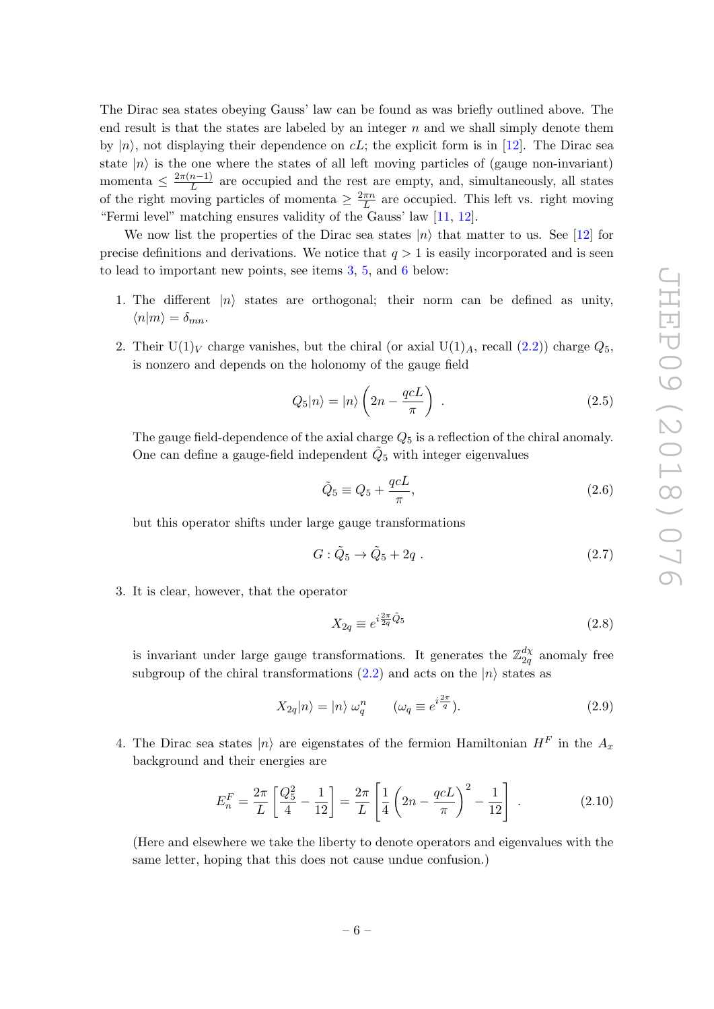The Dirac sea states obeying Gauss' law can be found as was briefly outlined above. The end result is that the states are labeled by an integer  $n$  and we shall simply denote them by  $|n\rangle$ , not displaying their dependence on cL; the explicit form is in [\[12\]](#page-17-8). The Dirac sea state  $|n\rangle$  is the one where the states of all left moving particles of (gauge non-invariant) momenta  $\leq \frac{2\pi(n-1)}{L}$  $\frac{n-1}{L}$  are occupied and the rest are empty, and, simultaneously, all states of the right moving particles of momenta  $\geq \frac{2\pi n}{L}$  $\frac{\pi n}{L}$  are occupied. This left vs. right moving "Fermi level" matching ensures validity of the Gauss' law [\[11,](#page-17-7) [12\]](#page-17-8).

We now list the properties of the Dirac sea states  $|n\rangle$  that matter to us. See [\[12\]](#page-17-8) for precise definitions and derivations. We notice that  $q > 1$  is easily incorporated and is seen to lead to important new points, see items [3,](#page-7-0) [5,](#page-8-0) and [6](#page-8-1) below:

- 1. The different  $|n\rangle$  states are orthogonal; their norm can be defined as unity,  $\langle n|m\rangle = \delta_{mn}$ .
- 2. Their  $U(1)_V$  charge vanishes, but the chiral (or axial  $U(1)_A$ , recall  $(2.2)$ ) charge  $Q_5$ , is nonzero and depends on the holonomy of the gauge field

$$
Q_5|n\rangle = |n\rangle \left(2n - \frac{qcL}{\pi}\right) \tag{2.5}
$$

The gauge field-dependence of the axial charge  $Q_5$  is a reflection of the chiral anomaly. One can define a gauge-field independent  $\tilde{Q}_5$  with integer eigenvalues

$$
\tilde{Q}_5 \equiv Q_5 + \frac{qcL}{\pi},\tag{2.6}
$$

but this operator shifts under large gauge transformations

$$
G: \tilde{Q}_5 \to \tilde{Q}_5 + 2q \tag{2.7}
$$

<span id="page-7-0"></span>3. It is clear, however, that the operator

$$
X_{2q} \equiv e^{i\frac{2\pi}{2q}\tilde{Q}_5} \tag{2.8}
$$

is invariant under large gauge transformations. It generates the  $\mathbb{Z}_{2a}^{d\chi}$  $\frac{a\chi}{2q}$  anomaly free subgroup of the chiral transformations  $(2.2)$  and acts on the  $|n\rangle$  states as

<span id="page-7-2"></span>
$$
X_{2q}|n\rangle = |n\rangle \ \omega_q^n \qquad (\omega_q \equiv e^{i\frac{2\pi}{q}}). \tag{2.9}
$$

4. The Dirac sea states  $|n\rangle$  are eigenstates of the fermion Hamiltonian  $H^F$  in the  $A_x$ background and their energies are

<span id="page-7-1"></span>
$$
E_n^F = \frac{2\pi}{L} \left[ \frac{Q_5^2}{4} - \frac{1}{12} \right] = \frac{2\pi}{L} \left[ \frac{1}{4} \left( 2n - \frac{qcL}{\pi} \right)^2 - \frac{1}{12} \right] \,. \tag{2.10}
$$

(Here and elsewhere we take the liberty to denote operators and eigenvalues with the same letter, hoping that this does not cause undue confusion.)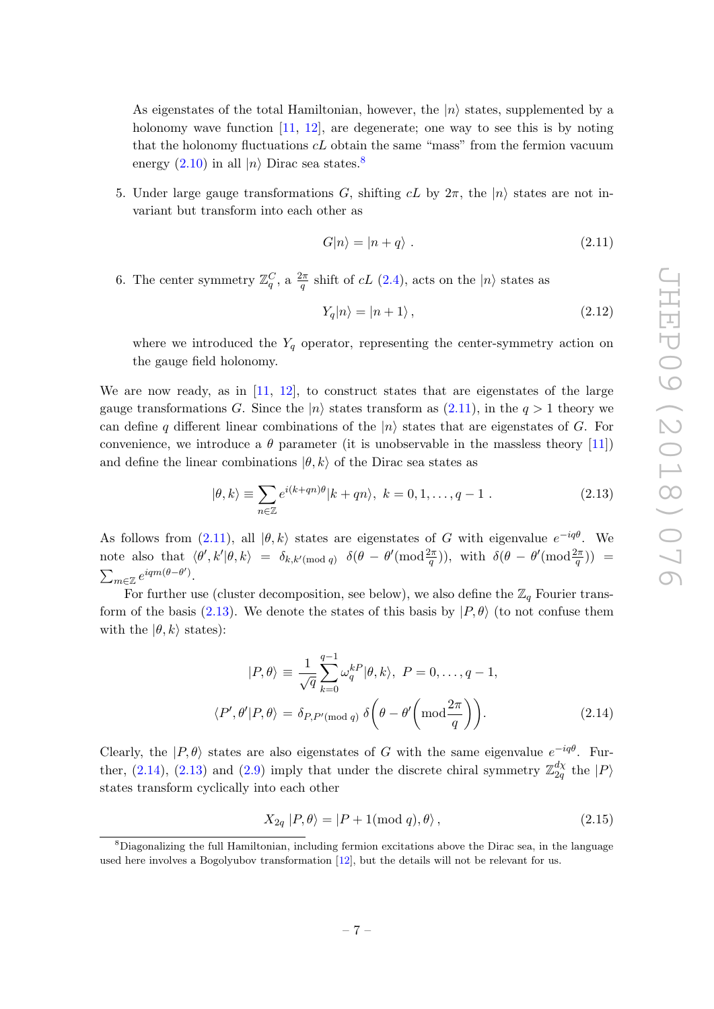As eigenstates of the total Hamiltonian, however, the  $|n\rangle$  states, supplemented by a holonomy wave function [\[11,](#page-17-7) [12\]](#page-17-8), are degenerate; one way to see this is by noting that the holonomy fluctuations  $c\mathcal{L}$  obtain the same "mass" from the fermion vacuum energy  $(2.10)$  in all  $|n\rangle$  Dirac sea states.<sup>[8](#page-8-2)</sup>

<span id="page-8-0"></span>5. Under large gauge transformations G, shifting  $cL$  by  $2\pi$ , the  $|n\rangle$  states are not invariant but transform into each other as

<span id="page-8-3"></span>
$$
G|n\rangle = |n+q\rangle . \tag{2.11}
$$

<span id="page-8-1"></span>6. The center symmetry  $\mathbb{Z}_q^C$ , a  $\frac{2\pi}{q}$  shift of  $cL$  [\(2.4\)](#page-6-3), acts on the  $|n\rangle$  states as

<span id="page-8-6"></span>
$$
Y_q|n\rangle = |n+1\rangle \,,\tag{2.12}
$$

where we introduced the  $Y_q$  operator, representing the center-symmetry action on the gauge field holonomy.

We are now ready, as in [\[11,](#page-17-7) [12\]](#page-17-8), to construct states that are eigenstates of the large gauge transformations G. Since the  $|n\rangle$  states transform as [\(2.11\)](#page-8-3), in the  $q > 1$  theory we can define q different linear combinations of the  $|n\rangle$  states that are eigenstates of G. For convenience, we introduce a  $\theta$  parameter (it is unobservable in the massless theory [\[11\]](#page-17-7)) and define the linear combinations  $|\theta, k\rangle$  of the Dirac sea states as

<span id="page-8-4"></span>
$$
|\theta, k\rangle \equiv \sum_{n \in \mathbb{Z}} e^{i(k+qn)\theta} |k+qn\rangle, \ k = 0, 1, \dots, q-1 . \tag{2.13}
$$

As follows from [\(2.11\)](#page-8-3), all  $|\theta, k\rangle$  states are eigenstates of G with eigenvalue  $e^{-iq\theta}$ . We note also that  $\langle \theta', k' | \theta, k \rangle = \delta_{k,k' \pmod{q}} \delta(\theta - \theta'(\text{mod}\frac{2\pi}{q}))$ , with  $\delta(\theta - \theta'(\text{mod}\frac{2\pi}{q}))$  $\sum_{m\in\mathbb{Z}}e^{iqm(\theta-\theta')}.$ 

For further use (cluster decomposition, see below), we also define the  $\mathbb{Z}_q$  Fourier trans-form of the basis [\(2.13\)](#page-8-4). We denote the states of this basis by  $|P, \theta\rangle$  (to not confuse them with the  $|\theta, k\rangle$  states):

<span id="page-8-5"></span>
$$
|P,\theta\rangle \equiv \frac{1}{\sqrt{q}} \sum_{k=0}^{q-1} \omega_q^{k} |\theta,k\rangle, \ P = 0, \dots, q-1,
$$
  

$$
\langle P',\theta'|P,\theta\rangle = \delta_{P,P'(\text{mod }q)} \delta\left(\theta - \theta'\left(\text{mod }\frac{2\pi}{q}\right)\right).
$$
 (2.14)

Clearly, the  $|P,\theta\rangle$  states are also eigenstates of G with the same eigenvalue  $e^{-iq\theta}$ . Fur-ther, [\(2.14\)](#page-8-5), [\(2.13\)](#page-8-4) and [\(2.9\)](#page-7-2) imply that under the discrete chiral symmetry  $\mathbb{Z}_{2a}^{d\chi}$  $\frac{d\chi}{2q}$  the  $|P\rangle$ states transform cyclically into each other

<span id="page-8-7"></span>
$$
X_{2q} | P, \theta \rangle = | P + 1 \text{(mod } q), \theta \rangle , \qquad (2.15)
$$

<span id="page-8-2"></span><sup>8</sup>Diagonalizing the full Hamiltonian, including fermion excitations above the Dirac sea, in the language used here involves a Bogolyubov transformation [\[12\]](#page-17-8), but the details will not be relevant for us.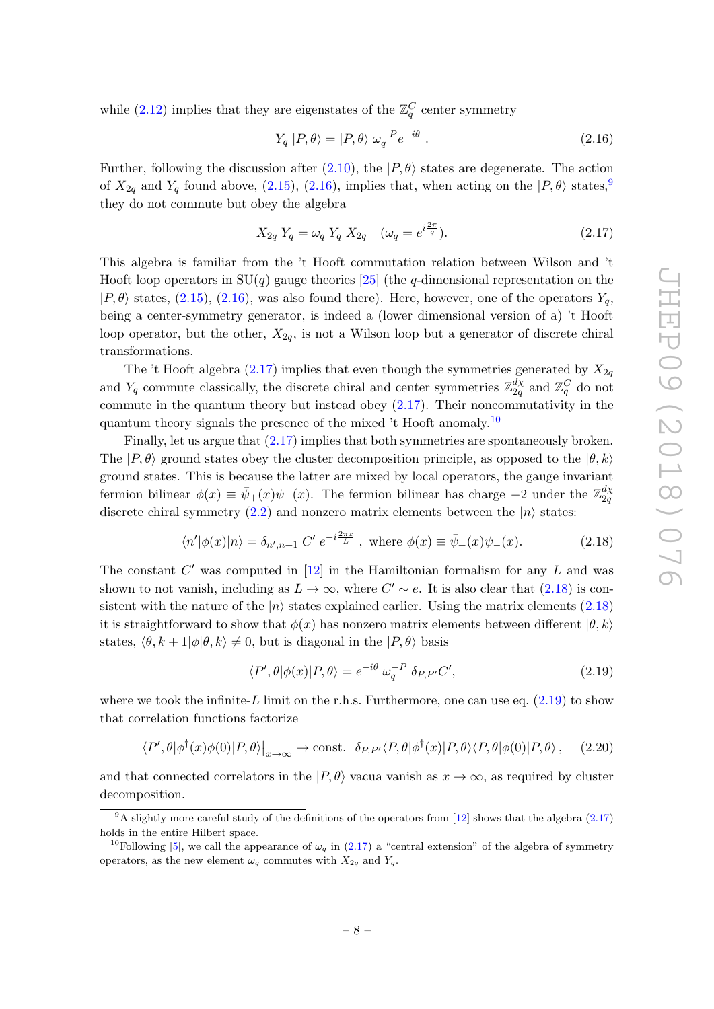while [\(2.12\)](#page-8-6) implies that they are eigenstates of the  $\mathbb{Z}_q^C$  center symmetry

<span id="page-9-1"></span>
$$
Y_q |P, \theta\rangle = |P, \theta\rangle \ \omega_q^{-P} e^{-i\theta} \ . \tag{2.16}
$$

Further, following the discussion after [\(2.10\)](#page-7-1), the  $|P, \theta\rangle$  states are degenerate. The action of  $X_{2q}$  and  $Y_q$  found above, [\(2.15\)](#page-8-7), [\(2.16\)](#page-9-1), implies that, when acting on the  $|P,\theta\rangle$  states,<sup>[9](#page-9-2)</sup> they do not commute but obey the algebra

<span id="page-9-0"></span>
$$
X_{2q} Y_q = \omega_q Y_q X_{2q} \quad (\omega_q = e^{i\frac{2\pi}{q}}). \tag{2.17}
$$

This algebra is familiar from the 't Hooft commutation relation between Wilson and 't Hooft loop operators in  $SU(q)$  gauge theories [\[25\]](#page-18-9) (the q-dimensional representation on the  $|P,\theta\rangle$  states, [\(2.15\)](#page-8-7), [\(2.16\)](#page-9-1), was also found there). Here, however, one of the operators  $Y_q$ , being a center-symmetry generator, is indeed a (lower dimensional version of a) 't Hooft loop operator, but the other,  $X_{2q}$ , is not a Wilson loop but a generator of discrete chiral transformations.

The 't Hooft algebra [\(2.17\)](#page-9-0) implies that even though the symmetries generated by  $X_{2q}$ and  $Y_q$  commute classically, the discrete chiral and center symmetries  $\mathbb{Z}_{2q}^{d\chi}$  $\frac{d\chi}{2q}$  and  $\mathbb{Z}_q^C$  do not commute in the quantum theory but instead obey [\(2.17\)](#page-9-0). Their noncommutativity in the quantum theory signals the presence of the mixed  $\tau$  Hooft anomaly.<sup>[10](#page-9-3)</sup>

Finally, let us argue that [\(2.17\)](#page-9-0) implies that both symmetries are spontaneously broken. The  $|P, \theta\rangle$  ground states obey the cluster decomposition principle, as opposed to the  $|\theta, k\rangle$ ground states. This is because the latter are mixed by local operators, the gauge invariant fermion bilinear  $\phi(x) \equiv \bar{\psi}_+(x)\psi_-(x)$ . The fermion bilinear has charge  $-2$  under the  $\mathbb{Z}_{2q}^{d\chi}$ 2q discrete chiral symmetry [\(2.2\)](#page-5-1) and nonzero matrix elements between the  $|n\rangle$  states:

<span id="page-9-4"></span>
$$
\langle n'|\phi(x)|n\rangle = \delta_{n',n+1} C' e^{-i\frac{2\pi x}{L}}, \text{ where } \phi(x) \equiv \bar{\psi}_+(x)\psi_-(x). \tag{2.18}
$$

The constant  $C'$  was computed in [\[12\]](#page-17-8) in the Hamiltonian formalism for any  $L$  and was shown to not vanish, including as  $L \to \infty$ , where  $C' \sim e$ . It is also clear that  $(2.18)$  is consistent with the nature of the  $|n\rangle$  states explained earlier. Using the matrix elements [\(2.18\)](#page-9-4) it is straightforward to show that  $\phi(x)$  has nonzero matrix elements between different  $|\theta, k\rangle$ states,  $\langle \theta, k + 1 | \phi | \theta, k \rangle \neq 0$ , but is diagonal in the  $|P, \theta \rangle$  basis

<span id="page-9-5"></span>
$$
\langle P', \theta | \phi(x) | P, \theta \rangle = e^{-i\theta} \omega_q^{-P} \delta_{P, P'} C', \qquad (2.19)
$$

where we took the infinite-L limit on the r.h.s. Furthermore, one can use eq.  $(2.19)$  to show that correlation functions factorize

$$
\langle P', \theta | \phi^\dagger(x)\phi(0) | P, \theta \rangle \big|_{x \to \infty} \to \text{const.} \quad \delta_{P, P'} \langle P, \theta | \phi^\dagger(x) | P, \theta \rangle \langle P, \theta | \phi(0) | P, \theta \rangle \,, \tag{2.20}
$$

and that connected correlators in the  $|P, \theta\rangle$  vacua vanish as  $x \to \infty$ , as required by cluster decomposition.

<span id="page-9-2"></span><sup>&</sup>lt;sup>9</sup>A slightly more careful study of the definitions of the operators from [\[12\]](#page-17-8) shows that the algebra [\(2.17\)](#page-9-0) holds in the entire Hilbert space.

<span id="page-9-3"></span><sup>&</sup>lt;sup>10</sup>Following [\[5\]](#page-17-4), we call the appearance of  $\omega_q$  in [\(2.17\)](#page-9-0) a "central extension" of the algebra of symmetry operators, as the new element  $\omega_q$  commutes with  $X_{2q}$  and  $Y_q$ .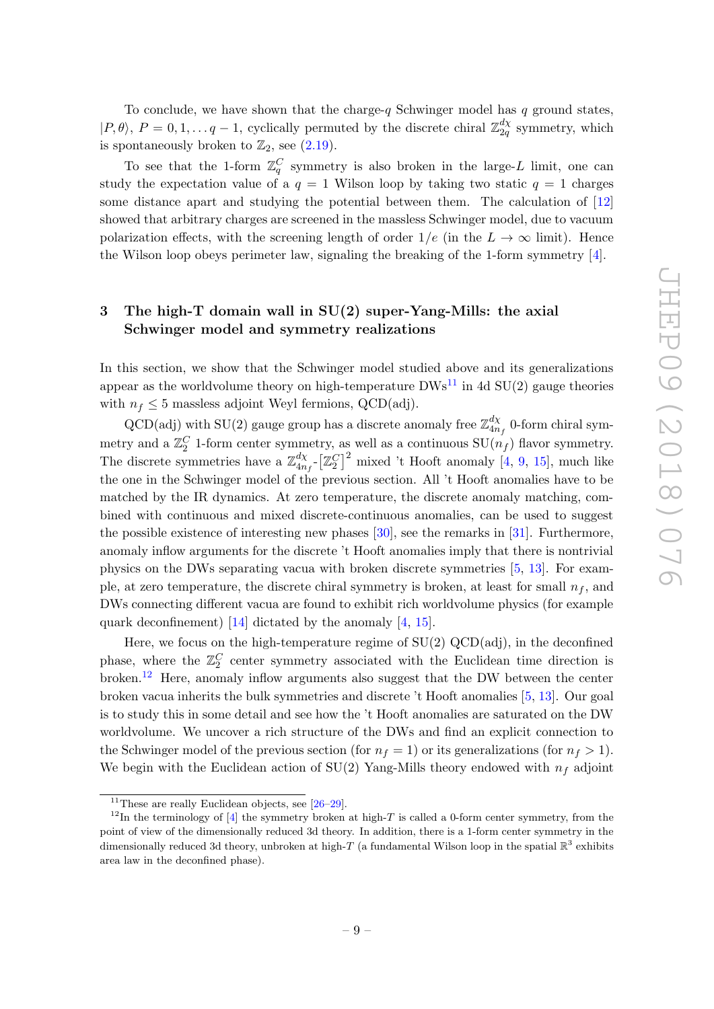To conclude, we have shown that the charge- $q$  Schwinger model has  $q$  ground states,  $|P,\theta\rangle, P = 0,1,\ldots q-1$ , cyclically permuted by the discrete chiral  $\mathbb{Z}_{2a}^{d\chi}$  $\frac{dX}{2q}$  symmetry, which is spontaneously broken to  $\mathbb{Z}_2$ , see  $(2.19)$ .

To see that the 1-form  $\mathbb{Z}_q^C$  symmetry is also broken in the large-L limit, one can study the expectation value of a  $q = 1$  Wilson loop by taking two static  $q = 1$  charges some distance apart and studying the potential between them. The calculation of [\[12\]](#page-17-8) showed that arbitrary charges are screened in the massless Schwinger model, due to vacuum polarization effects, with the screening length of order  $1/e$  (in the  $L \to \infty$  limit). Hence the Wilson loop obeys perimeter law, signaling the breaking of the 1-form symmetry [\[4\]](#page-17-3).

## <span id="page-10-0"></span>3 The high-T domain wall in SU(2) super-Yang-Mills: the axial Schwinger model and symmetry realizations

In this section, we show that the Schwinger model studied above and its generalizations appear as the worldvolume theory on high-temperature  $DWs^{11}$  $DWs^{11}$  $DWs^{11}$  in 4d  $SU(2)$  gauge theories with  $n_f \leq 5$  massless adjoint Weyl fermions, QCD(adj).

 $QCD(adj)$  with  $SU(2)$  gauge group has a discrete anomaly free  $\mathbb{Z}_{4n}^{d\chi}$  $\int_{4n_f}^{a\chi}$  0-form chiral symmetry and a  $\mathbb{Z}_2^C$  1-form center symmetry, as well as a continuous  $\text{SU}(n_f)$  flavor symmetry. The discrete symmetries have a  $\mathbb{Z}_{4n}^{d\chi}$  $\frac{d\chi}{4n_f}$ - $\left[\mathbb{Z}_2^C\right]^2$  mixed 't Hooft anomaly [\[4,](#page-17-3) [9,](#page-17-13) [15\]](#page-17-11), much like the one in the Schwinger model of the previous section. All 't Hooft anomalies have to be matched by the IR dynamics. At zero temperature, the discrete anomaly matching, combined with continuous and mixed discrete-continuous anomalies, can be used to suggest the possible existence of interesting new phases [\[30\]](#page-18-10), see the remarks in [\[31\]](#page-18-11). Furthermore, anomaly inflow arguments for the discrete 't Hooft anomalies imply that there is nontrivial physics on the DWs separating vacua with broken discrete symmetries [\[5,](#page-17-4) [13\]](#page-17-9). For example, at zero temperature, the discrete chiral symmetry is broken, at least for small  $n_f$ , and DWs connecting different vacua are found to exhibit rich worldvolume physics (for example quark deconfinement) [\[14\]](#page-17-10) dictated by the anomaly [\[4,](#page-17-3) [15\]](#page-17-11).

Here, we focus on the high-temperature regime of  $SU(2)$  QCD(adj), in the deconfined phase, where the  $\mathbb{Z}_2^C$  center symmetry associated with the Euclidean time direction is broken.[12](#page-10-2) Here, anomaly inflow arguments also suggest that the DW between the center broken vacua inherits the bulk symmetries and discrete 't Hooft anomalies [\[5,](#page-17-4) [13\]](#page-17-9). Our goal is to study this in some detail and see how the 't Hooft anomalies are saturated on the DW worldvolume. We uncover a rich structure of the DWs and find an explicit connection to the Schwinger model of the previous section (for  $n_f = 1$ ) or its generalizations (for  $n_f > 1$ ). We begin with the Euclidean action of  $SU(2)$  Yang-Mills theory endowed with  $n_f$  adjoint

<span id="page-10-2"></span><span id="page-10-1"></span><sup>&</sup>lt;sup>11</sup>These are really Euclidean objects, see  $[26-29]$  $[26-29]$ .

 $12$ In the terminology of [\[4\]](#page-17-3) the symmetry broken at high-T is called a 0-form center symmetry, from the point of view of the dimensionally reduced 3d theory. In addition, there is a 1-form center symmetry in the dimensionally reduced 3d theory, unbroken at high-T (a fundamental Wilson loop in the spatial  $\mathbb{R}^3$  exhibits area law in the deconfined phase).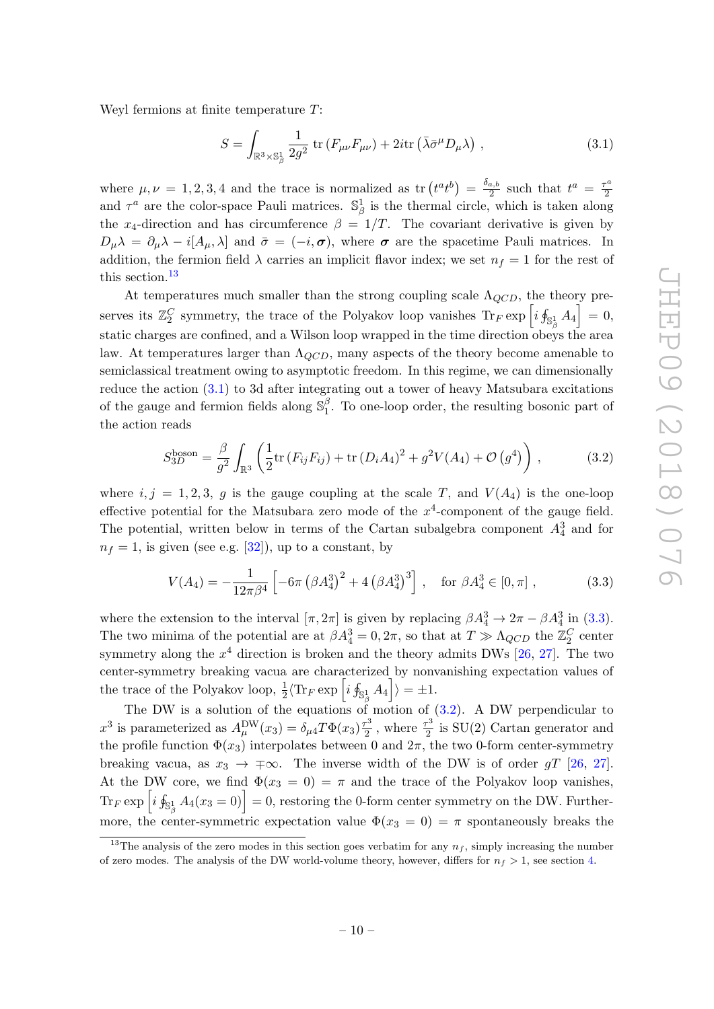Weyl fermions at finite temperature T:

<span id="page-11-1"></span>
$$
S = \int_{\mathbb{R}^3 \times \mathbb{S}_\beta^1} \frac{1}{2g^2} \operatorname{tr} \left( F_{\mu\nu} F_{\mu\nu} \right) + 2i \operatorname{tr} \left( \bar{\lambda} \bar{\sigma}^\mu D_\mu \lambda \right) , \qquad (3.1)
$$

where  $\mu, \nu = 1, 2, 3, 4$  and the trace is normalized as  $\text{tr}\left(t^a t^b\right) = \frac{\delta_{a,b}}{2}$  $rac{a,b}{2}$  such that  $t^a = \frac{\tau^a}{2}$ 2 and  $\tau^a$  are the color-space Pauli matrices.  $\mathbb{S}_{\beta}^1$  is the thermal circle, which is taken along the x<sub>4</sub>-direction and has circumference  $\beta = 1/T$ . The covariant derivative is given by  $D_{\mu}\lambda = \partial_{\mu}\lambda - i[A_{\mu},\lambda]$  and  $\bar{\sigma} = (-i,\sigma)$ , where  $\sigma$  are the spacetime Pauli matrices. In addition, the fermion field  $\lambda$  carries an implicit flavor index; we set  $n_f = 1$  for the rest of this section.<sup>[13](#page-11-0)</sup>

At temperatures much smaller than the strong coupling scale  $\Lambda_{QCD}$ , the theory preserves its  $\mathbb{Z}_2^C$  symmetry, the trace of the Polyakov loop vanishes  $\text{Tr}_F \exp \left[i \oint_{\mathbb{S}_\beta^1} A_4 \right] = 0$ , static charges are confined, and a Wilson loop wrapped in the time direction obeys the area law. At temperatures larger than  $\Lambda_{QCD}$ , many aspects of the theory become amenable to semiclassical treatment owing to asymptotic freedom. In this regime, we can dimensionally reduce the action [\(3.1\)](#page-11-1) to 3d after integrating out a tower of heavy Matsubara excitations of the gauge and fermion fields along  $\mathbb{S}_1^{\beta}$  $\int_{1}^{\rho}$ . To one-loop order, the resulting bosonic part of the action reads

<span id="page-11-3"></span>
$$
S_{3D}^{\text{boson}} = \frac{\beta}{g^2} \int_{\mathbb{R}^3} \left( \frac{1}{2} \text{tr} \left( F_{ij} F_{ij} \right) + \text{tr} \left( D_i A_4 \right)^2 + g^2 V(A_4) + \mathcal{O} \left( g^4 \right) \right), \tag{3.2}
$$

where  $i, j = 1, 2, 3, g$  is the gauge coupling at the scale T, and  $V(A_4)$  is the one-loop effective potential for the Matsubara zero mode of the  $x^4$ -component of the gauge field. The potential, written below in terms of the Cartan subalgebra component  $A_4^3$  and for  $n_f = 1$ , is given (see e.g. [\[32\]](#page-18-14)), up to a constant, by

<span id="page-11-2"></span>
$$
V(A_4) = -\frac{1}{12\pi\beta^4} \left[ -6\pi \left( \beta A_4^3 \right)^2 + 4 \left( \beta A_4^3 \right)^3 \right], \quad \text{for } \beta A_4^3 \in [0, \pi] \,, \tag{3.3}
$$

where the extension to the interval  $[\pi, 2\pi]$  is given by replacing  $\beta A_4^3 \rightarrow 2\pi - \beta A_4^3$  in [\(3.3\)](#page-11-2). The two minima of the potential are at  $\beta A_4^3 = 0, 2\pi$ , so that at  $T \gg \Lambda_{QCD}$  the  $\mathbb{Z}_2^C$  center symmetry along the  $x^4$  direction is broken and the theory admits DWs [\[26,](#page-18-12) [27\]](#page-18-15). The two center-symmetry breaking vacua are characterized by nonvanishing expectation values of the trace of the Polyakov loop,  $\frac{1}{2} \langle \text{Tr}_F \exp \left[i \oint_{\mathbb{S}^1_{\mathcal{A}}} A_4 \right] \rangle = \pm 1.$ 

The DW is a solution of the equations of motion of [\(3.2\)](#page-11-3). A DW perpendicular to  $x^3$  is parameterized as  $A_\mu^{\rm DW}(x_3)=\delta_{\mu 4}T\Phi(x_3)\frac{\tau^3}{2}$  $\frac{\tau^3}{2}$ , where  $\frac{\tau^3}{2}$  $\frac{12}{2}$  is SU(2) Cartan generator and the profile function  $\Phi(x_3)$  interpolates between 0 and  $2\pi$ , the two 0-form center-symmetry breaking vacua, as  $x_3 \rightarrow \pm \infty$ . The inverse width of the DW is of order gT [\[26,](#page-18-12) [27\]](#page-18-15). At the DW core, we find  $\Phi(x_3 = 0) = \pi$  and the trace of the Polyakov loop vanishes,  $\text{Tr}_F \exp\left[i \oint_{\mathbb{S}_\beta^1} A_4(x_3=0)\right] = 0,$  restoring the 0-form center symmetry on the DW. Furthermore, the center-symmetric expectation value  $\Phi(x_3 = 0) = \pi$  spontaneously breaks the

<span id="page-11-0"></span><sup>&</sup>lt;sup>13</sup>The analysis of the zero modes in this section goes verbatim for any  $n_f$ , simply increasing the number of zero modes. The analysis of the DW world-volume theory, however, differs for  $n_f > 1$ , see section [4.](#page-15-0)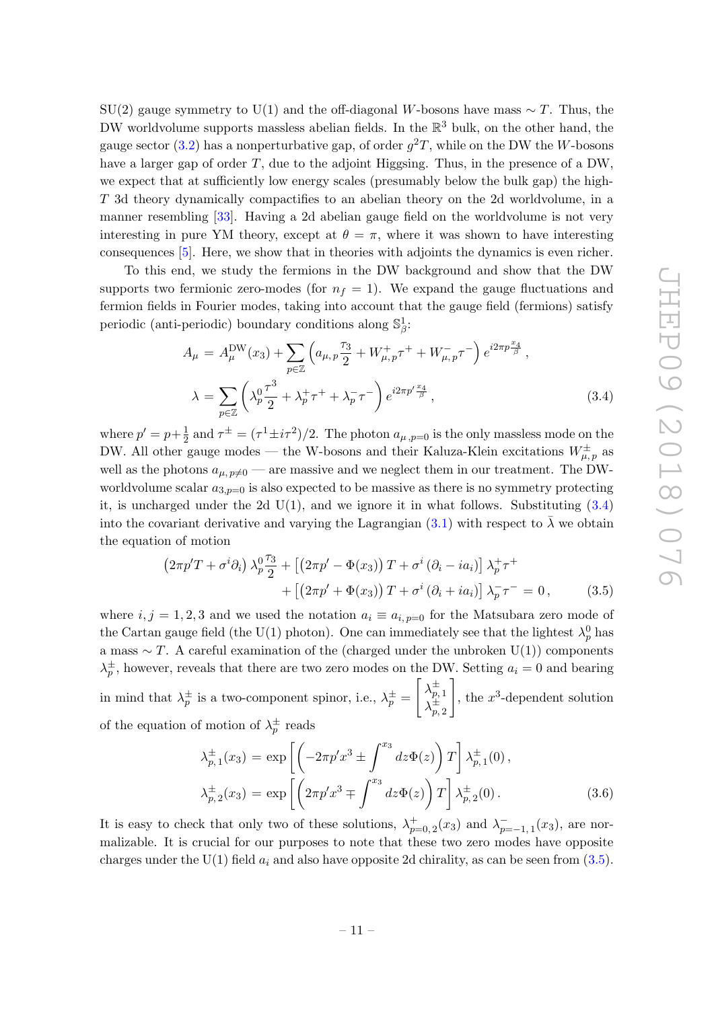$SU(2)$  gauge symmetry to  $U(1)$  and the off-diagonal W-bosons have mass ~ T. Thus, the DW worldvolume supports massless abelian fields. In the  $\mathbb{R}^3$  bulk, on the other hand, the gauge sector [\(3.2\)](#page-11-3) has a nonperturbative gap, of order  $g^2T$ , while on the DW the W-bosons have a larger gap of order  $T$ , due to the adjoint Higgsing. Thus, in the presence of a DW, we expect that at sufficiently low energy scales (presumably below the bulk gap) the high-T 3d theory dynamically compactifies to an abelian theory on the 2d worldvolume, in a manner resembling [\[33\]](#page-18-16). Having a 2d abelian gauge field on the worldvolume is not very interesting in pure YM theory, except at  $\theta = \pi$ , where it was shown to have interesting consequences [\[5\]](#page-17-4). Here, we show that in theories with adjoints the dynamics is even richer.

To this end, we study the fermions in the DW background and show that the DW supports two fermionic zero-modes (for  $n_f = 1$ ). We expand the gauge fluctuations and fermion fields in Fourier modes, taking into account that the gauge field (fermions) satisfy periodic (anti-periodic) boundary conditions along  $\mathbb{S}_{\beta}^1$ :

<span id="page-12-0"></span>
$$
A_{\mu} = A_{\mu}^{\text{DW}}(x_3) + \sum_{p \in \mathbb{Z}} \left( a_{\mu, p} \frac{\tau_3}{2} + W_{\mu, p}^+ \tau^+ + W_{\mu, p}^- \tau^- \right) e^{i2\pi p \frac{x_4}{\beta}},
$$
  

$$
\lambda = \sum_{p \in \mathbb{Z}} \left( \lambda_p^0 \frac{\tau^3}{2} + \lambda_p^+ \tau^+ + \lambda_p^- \tau^- \right) e^{i2\pi p' \frac{x_4}{\beta}},
$$
(3.4)

where  $p' = p + \frac{1}{2}$  $\frac{1}{2}$  and  $\tau^{\pm} = (\tau^1 \pm i\tau^2)/2$ . The photon  $a_{\mu, p=0}$  is the only massless mode on the DW. All other gauge modes — the W-bosons and their Kaluza-Klein excitations  $W^{\pm}_{\mu, p}$  as well as the photons  $a_{\mu, p\neq 0}$  — are massive and we neglect them in our treatment. The DWworldvolume scalar  $a_{3,p=0}$  is also expected to be massive as there is no symmetry protecting it, is uncharged under the 2d  $U(1)$ , and we ignore it in what follows. Substituting  $(3.4)$ into the covariant derivative and varying the Lagrangian [\(3.1\)](#page-11-1) with respect to  $\bar{\lambda}$  we obtain the equation of motion

<span id="page-12-1"></span>
$$
(2\pi p'T + \sigma^i \partial_i) \lambda_p^0 \frac{\tau_3}{2} + \left[ \left( 2\pi p' - \Phi(x_3) \right) T + \sigma^i \left( \partial_i - ia_i \right) \right] \lambda_p^+ \tau^+ + \left[ \left( 2\pi p' + \Phi(x_3) \right) T + \sigma^i \left( \partial_i + ia_i \right) \right] \lambda_p^- \tau^- = 0, \tag{3.5}
$$

where  $i, j = 1, 2, 3$  and we used the notation  $a_i \equiv a_{i, p=0}$  for the Matsubara zero mode of the Cartan gauge field (the U(1) photon). One can immediately see that the lightest  $\lambda_p^0$  has a mass  $\sim T$ . A careful examination of the (charged under the unbroken U(1)) components  $\lambda_p^{\pm}$ , however, reveals that there are two zero modes on the DW. Setting  $a_i = 0$  and bearing in mind that  $\lambda_p^{\pm}$  is a two-component spinor, i.e.,  $\lambda_p^{\pm}$  =  $\left[\lambda_{p,1}^{\pm}\right]$  $\lambda_{p,\,2}^{\pm}$ 1 , the  $x^3$ -dependent solution of the equation of motion of  $\lambda_p^{\pm}$  reads

$$
\lambda_{p,1}^{\pm}(x_3) = \exp\left[\left(-2\pi p' x^3 \pm \int^{x_3} dz \Phi(z)\right) T\right] \lambda_{p,1}^{\pm}(0), \n\lambda_{p,2}^{\pm}(x_3) = \exp\left[\left(2\pi p' x^3 \mp \int^{x_3} dz \Phi(z)\right) T\right] \lambda_{p,2}^{\pm}(0).
$$
\n(3.6)

It is easy to check that only two of these solutions,  $\lambda_{p=0,2}^{+}(x_3)$  and  $\lambda_{p=-1,1}^{-}(x_3)$ , are normalizable. It is crucial for our purposes to note that these two zero modes have opposite charges under the U(1) field  $a_i$  and also have opposite 2d chirality, as can be seen from [\(3.5\)](#page-12-1).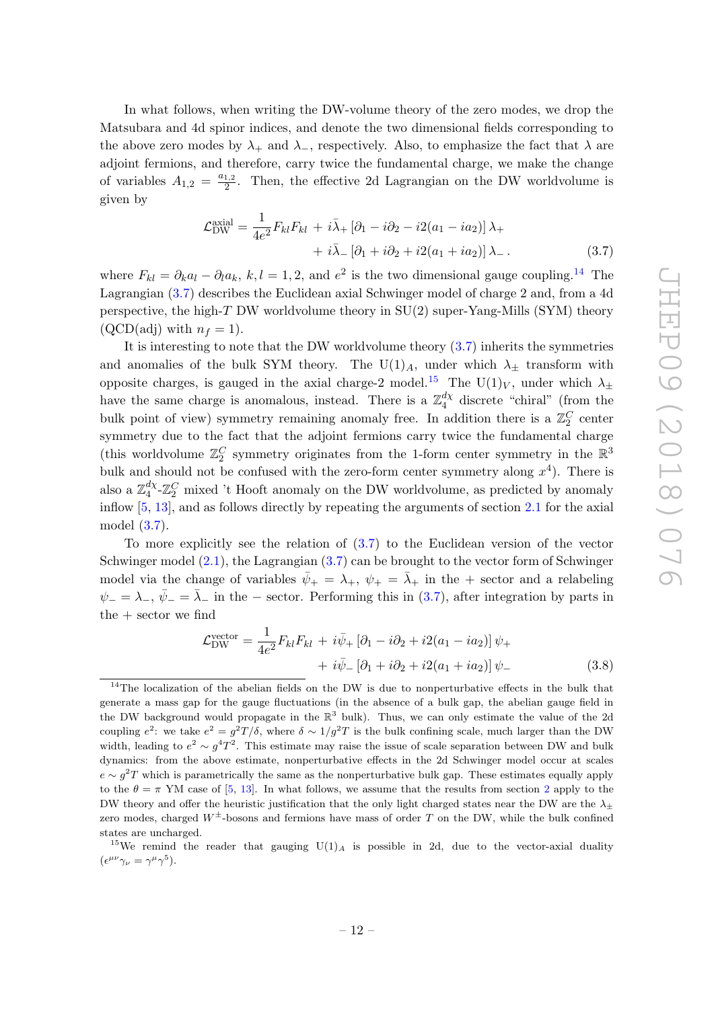In what follows, when writing the DW-volume theory of the zero modes, we drop the Matsubara and 4d spinor indices, and denote the two dimensional fields corresponding to the above zero modes by  $\lambda_+$  and  $\lambda_-$ , respectively. Also, to emphasize the fact that  $\lambda$  are adjoint fermions, and therefore, carry twice the fundamental charge, we make the change of variables  $A_{1,2} = \frac{a_{1,2}}{2}$  $\frac{1,2}{2}$ . Then, the effective 2d Lagrangian on the DW worldvolume is given by

<span id="page-13-1"></span>
$$
\mathcal{L}_{\text{DW}}^{\text{axial}} = \frac{1}{4e^2} F_{kl} F_{kl} + i\bar{\lambda}_+ \left[ \partial_1 - i\partial_2 - i2(a_1 - ia_2) \right] \lambda_+ + i\bar{\lambda}_- \left[ \partial_1 + i\partial_2 + i2(a_1 + ia_2) \right] \lambda_-.
$$
 (3.7)

where  $F_{kl} = \partial_k a_l - \partial_l a_k$ ,  $k, l = 1, 2$ , and  $e^2$  is the two dimensional gauge coupling.<sup>[14](#page-13-0)</sup> The Lagrangian [\(3.7\)](#page-13-1) describes the Euclidean axial Schwinger model of charge 2 and, from a 4d perspective, the high- $T$  DW worldvolume theory in  $SU(2)$  super-Yang-Mills (SYM) theory  $(QCD(\text{adj}) \text{ with } n_f = 1).$ 

It is interesting to note that the DW worldvolume theory [\(3.7\)](#page-13-1) inherits the symmetries and anomalies of the bulk SYM theory. The U(1)<sub>A</sub>, under which  $\lambda_{\pm}$  transform with opposite charges, is gauged in the axial charge-2 model.<sup>[15](#page-13-2)</sup> The U(1)<sub>V</sub>, under which  $\lambda_{\pm}$ have the same charge is anomalous, instead. There is a  $\mathbb{Z}_4^{d\chi}$  $\frac{dX}{4}$  discrete "chiral" (from the bulk point of view) symmetry remaining anomaly free. In addition there is a  $\mathbb{Z}_2^C$  center symmetry due to the fact that the adjoint fermions carry twice the fundamental charge (this worldvolume  $\mathbb{Z}_2^C$  symmetry originates from the 1-form center symmetry in the  $\mathbb{R}^3$ bulk and should not be confused with the zero-form center symmetry along  $x^4$ ). There is also a  $\mathbb{Z}_4^{d\chi}$  $\frac{d\chi}{4}$ - $\mathbb{Z}_2^C$  mixed 't Hooft anomaly on the DW worldvolume, as predicted by anomaly inflow [\[5,](#page-17-4) [13\]](#page-17-9), and as follows directly by repeating the arguments of section [2.1](#page-5-0) for the axial model [\(3.7\)](#page-13-1).

To more explicitly see the relation of [\(3.7\)](#page-13-1) to the Euclidean version of the vector Schwinger model [\(2.1\)](#page-4-4), the Lagrangian [\(3.7\)](#page-13-1) can be brought to the vector form of Schwinger model via the change of variables  $\bar{\psi}_+ = \lambda_+$ ,  $\psi_+ = \bar{\lambda}_+$  in the + sector and a relabeling  $\psi_-=\lambda_-$ ,  $\bar{\psi}_-=\bar{\lambda}_-$  in the – sector. Performing this in [\(3.7\)](#page-13-1), after integration by parts in the + sector we find

<span id="page-13-3"></span>
$$
\mathcal{L}_{\text{DW}}^{\text{vector}} = \frac{1}{4e^2} F_{kl} F_{kl} + i \bar{\psi}_+ \left[ \partial_1 - i \partial_2 + i 2(a_1 - i a_2) \right] \psi_+ + i \bar{\psi}_- \left[ \partial_1 + i \partial_2 + i 2(a_1 + i a_2) \right] \psi_- \tag{3.8}
$$

<span id="page-13-0"></span><sup>&</sup>lt;sup>14</sup>The localization of the abelian fields on the DW is due to nonperturbative effects in the bulk that generate a mass gap for the gauge fluctuations (in the absence of a bulk gap, the abelian gauge field in the DW background would propagate in the  $\mathbb{R}^3$  bulk). Thus, we can only estimate the value of the 2d coupling  $e^2$ : we take  $e^2 = g^2T/\delta$ , where  $\delta \sim 1/g^2T$  is the bulk confining scale, much larger than the DW width, leading to  $e^2 \sim g^4 T^2$ . This estimate may raise the issue of scale separation between DW and bulk dynamics: from the above estimate, nonperturbative effects in the 2d Schwinger model occur at scales  $e \sim g^2 T$  which is parametrically the same as the nonperturbative bulk gap. These estimates equally apply to the  $\theta = \pi$  YM case of [\[5,](#page-17-4) [13\]](#page-17-9). In what follows, we assume that the results from section [2](#page-4-0) apply to the DW theory and offer the heuristic justification that the only light charged states near the DW are the  $\lambda_{\pm}$ zero modes, charged  $W^{\pm}$ -bosons and fermions have mass of order T on the DW, while the bulk confined states are uncharged.

<span id="page-13-2"></span><sup>&</sup>lt;sup>15</sup>We remind the reader that gauging  $U(1)_A$  is possible in 2d, due to the vector-axial duality  $(\epsilon^{\mu\nu}\gamma_{\nu}=\gamma^{\mu}\gamma^{5}).$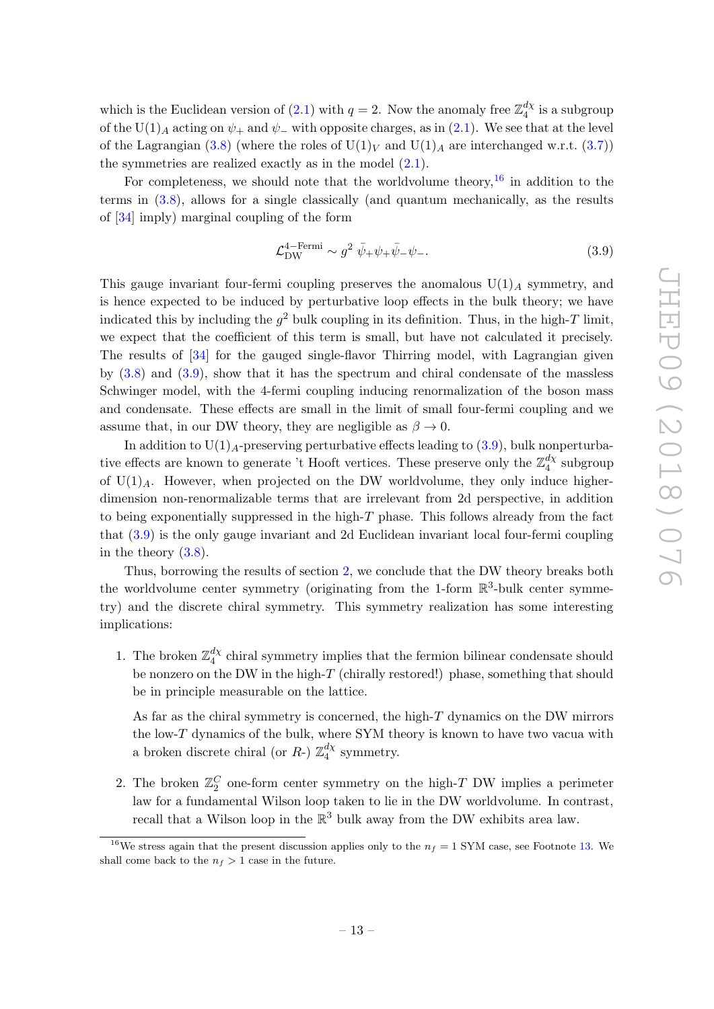which is the Euclidean version of [\(2.1\)](#page-4-4) with  $q = 2$ . Now the anomaly free  $\mathbb{Z}_4^{d\chi}$  $\frac{a\chi}{4}$  is a subgroup of the U(1)<sub>A</sub> acting on  $\psi_+$  and  $\psi_-$  with opposite charges, as in [\(2.1\)](#page-4-4). We see that at the level of the Lagrangian [\(3.8\)](#page-13-3) (where the roles of  $U(1)_V$  and  $U(1)_A$  are interchanged w.r.t. [\(3.7\)](#page-13-1)) the symmetries are realized exactly as in the model [\(2.1\)](#page-4-4).

For completeness, we should note that the worldvolume theory,<sup>[16](#page-14-0)</sup> in addition to the terms in [\(3.8\)](#page-13-3), allows for a single classically (and quantum mechanically, as the results of [\[34\]](#page-18-17) imply) marginal coupling of the form

<span id="page-14-1"></span>
$$
\mathcal{L}_{\rm DW}^{4-\text{Fermi}} \sim g^2 \ \bar{\psi}_+ \psi_+ \bar{\psi}_- \psi_-.
$$
\n(3.9)

This gauge invariant four-fermi coupling preserves the anomalous  $U(1)_A$  symmetry, and is hence expected to be induced by perturbative loop effects in the bulk theory; we have indicated this by including the  $g^2$  bulk coupling in its definition. Thus, in the high-T limit, we expect that the coefficient of this term is small, but have not calculated it precisely. The results of [\[34\]](#page-18-17) for the gauged single-flavor Thirring model, with Lagrangian given by [\(3.8\)](#page-13-3) and [\(3.9\)](#page-14-1), show that it has the spectrum and chiral condensate of the massless Schwinger model, with the 4-fermi coupling inducing renormalization of the boson mass and condensate. These effects are small in the limit of small four-fermi coupling and we assume that, in our DW theory, they are negligible as  $\beta \to 0$ .

In addition to  $U(1)<sub>A</sub>$ -preserving perturbative effects leading to [\(3.9\)](#page-14-1), bulk nonperturbative effects are known to generate 't Hooft vertices. These preserve only the  $\mathbb{Z}_4^{d\chi}$  $\frac{a\chi}{4}$  subgroup of  $U(1)_A$ . However, when projected on the DW worldvolume, they only induce higherdimension non-renormalizable terms that are irrelevant from 2d perspective, in addition to being exponentially suppressed in the high- $T$  phase. This follows already from the fact that [\(3.9\)](#page-14-1) is the only gauge invariant and 2d Euclidean invariant local four-fermi coupling in the theory  $(3.8)$ .

Thus, borrowing the results of section [2,](#page-4-0) we conclude that the DW theory breaks both the worldvolume center symmetry (originating from the 1-form  $\mathbb{R}^3$ -bulk center symmetry) and the discrete chiral symmetry. This symmetry realization has some interesting implications:

1. The broken  $\mathbb{Z}_4^{d\chi}$  $_{4}^{a\chi}$  chiral symmetry implies that the fermion bilinear condensate should be nonzero on the DW in the high- $T$  (chirally restored!) phase, something that should be in principle measurable on the lattice.

As far as the chiral symmetry is concerned, the high-T dynamics on the DW mirrors the low- $T$  dynamics of the bulk, where SYM theory is known to have two vacua with a broken discrete chiral (or  $R$ -)  $\mathbb{Z}_4^{d\chi}$  $\frac{dX}{4}$  symmetry.

2. The broken  $\mathbb{Z}_2^C$  one-form center symmetry on the high-T DW implies a perimeter law for a fundamental Wilson loop taken to lie in the DW worldvolume. In contrast, recall that a Wilson loop in the  $\mathbb{R}^3$  bulk away from the DW exhibits area law.

<span id="page-14-0"></span><sup>&</sup>lt;sup>16</sup>We stress again that the present discussion applies only to the  $n_f = 1$  SYM case, see Footnote [13.](#page-11-0) We shall come back to the  $n_f > 1$  case in the future.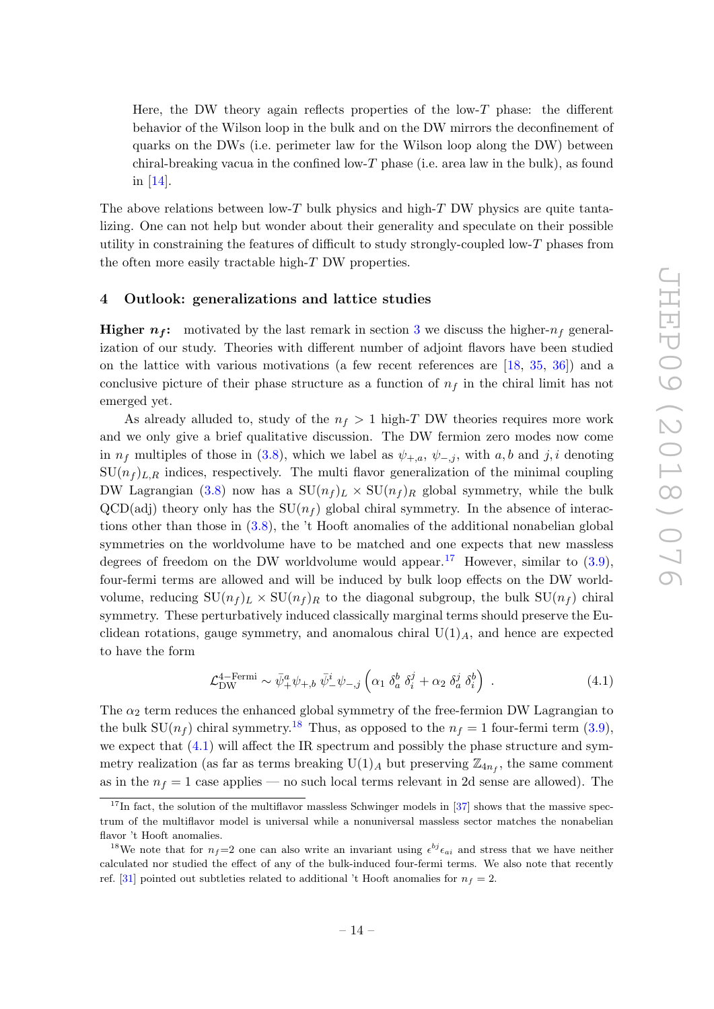Here, the DW theory again reflects properties of the low- $T$  phase: the different behavior of the Wilson loop in the bulk and on the DW mirrors the deconfinement of quarks on the DWs (i.e. perimeter law for the Wilson loop along the DW) between chiral-breaking vacua in the confined low-T phase (i.e. area law in the bulk), as found in [\[14\]](#page-17-10).

The above relations between low-T bulk physics and high-T DW physics are quite tantalizing. One can not help but wonder about their generality and speculate on their possible utility in constraining the features of difficult to study strongly-coupled low-T phases from the often more easily tractable high-T DW properties.

#### <span id="page-15-0"></span>4 Outlook: generalizations and lattice studies

**Higher**  $n_f$ **:** motivated by the last remark in section [3](#page-10-0) we discuss the higher- $n_f$  generalization of our study. Theories with different number of adjoint flavors have been studied on the lattice with various motivations (a few recent references are [\[18,](#page-18-2) [35,](#page-18-18) [36\]](#page-18-19)) and a conclusive picture of their phase structure as a function of  $n_f$  in the chiral limit has not emerged yet.

As already alluded to, study of the  $n_f > 1$  high-T DW theories requires more work and we only give a brief qualitative discussion. The DW fermion zero modes now come in  $n_f$  multiples of those in [\(3.8\)](#page-13-3), which we label as  $\psi_{+,a}, \psi_{-,i}$ , with a, b and j, i denoting  $SU(n_f)_{L,R}$  indices, respectively. The multi flavor generalization of the minimal coupling DW Lagrangian [\(3.8\)](#page-13-3) now has a  $SU(n_f)_L \times SU(n_f)_R$  global symmetry, while the bulk  $QCD(\text{adj})$  theory only has the  $SU(n_f)$  global chiral symmetry. In the absence of interactions other than those in [\(3.8\)](#page-13-3), the 't Hooft anomalies of the additional nonabelian global symmetries on the worldvolume have to be matched and one expects that new massless degrees of freedom on the DW worldvolume would appear.<sup>[17](#page-15-1)</sup> However, similar to  $(3.9)$ , four-fermi terms are allowed and will be induced by bulk loop effects on the DW worldvolume, reducing  $SU(n_f)_L \times SU(n_f)_R$  to the diagonal subgroup, the bulk  $SU(n_f)$  chiral symmetry. These perturbatively induced classically marginal terms should preserve the Euclidean rotations, gauge symmetry, and anomalous chiral  $U(1)_A$ , and hence are expected to have the form

<span id="page-15-3"></span>
$$
\mathcal{L}_{\rm DW}^{4-\rm Fermi} \sim \bar{\psi}_+^a \psi_{+,b} \ \bar{\psi}_-^i \psi_{-,j} \left( \alpha_1 \ \delta_a^b \ \delta_i^j + \alpha_2 \ \delta_a^j \ \delta_i^b \right) \ . \tag{4.1}
$$

The  $\alpha_2$  term reduces the enhanced global symmetry of the free-fermion DW Lagrangian to the bulk  $SU(n_f)$  chiral symmetry.<sup>[18](#page-15-2)</sup> Thus, as opposed to the  $n_f = 1$  four-fermi term [\(3.9\)](#page-14-1), we expect that [\(4.1\)](#page-15-3) will affect the IR spectrum and possibly the phase structure and symmetry realization (as far as terms breaking  $U(1)_A$  but preserving  $\mathbb{Z}_{4n_f}$ , the same comment as in the  $n_f = 1$  case applies — no such local terms relevant in 2d sense are allowed). The

<span id="page-15-1"></span> $17$ In fact, the solution of the multiflavor massless Schwinger models in [\[37\]](#page-18-20) shows that the massive spectrum of the multiflavor model is universal while a nonuniversal massless sector matches the nonabelian flavor 't Hooft anomalies.

<span id="page-15-2"></span><sup>&</sup>lt;sup>18</sup>We note that for  $n_f=2$  one can also write an invariant using  $\epsilon^{bj}\epsilon_{ai}$  and stress that we have neither calculated nor studied the effect of any of the bulk-induced four-fermi terms. We also note that recently ref. [\[31\]](#page-18-11) pointed out subtleties related to additional 't Hooft anomalies for  $n_f = 2$ .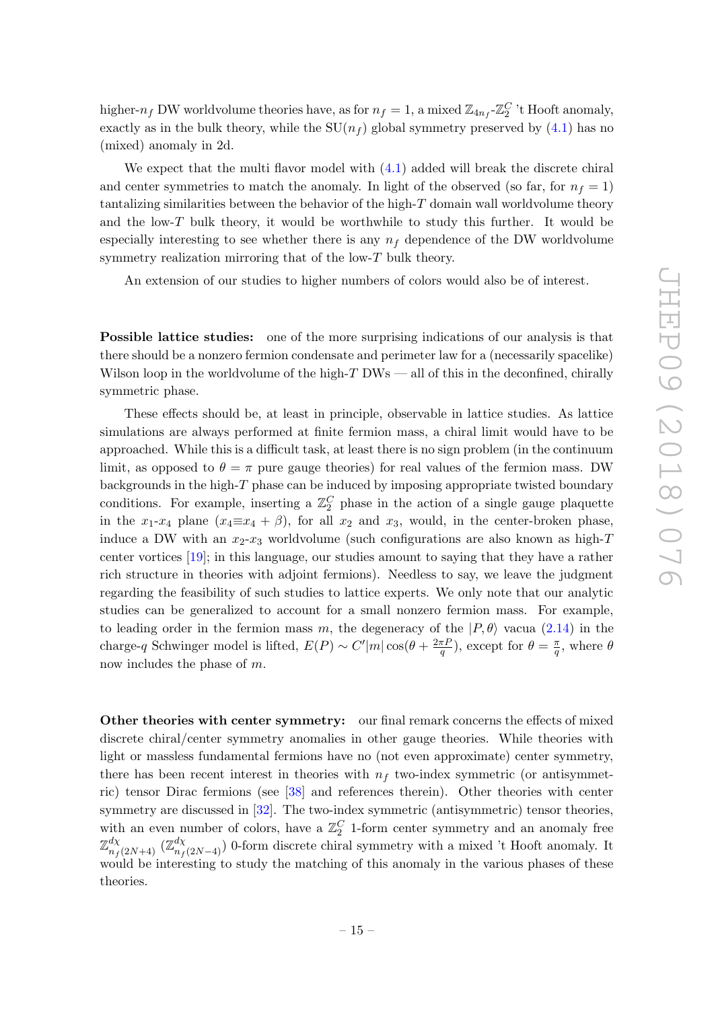higher- $n_f$  DW worldvolume theories have, as for  $n_f = 1$ , a mixed  $\mathbb{Z}_{4n_f}$ - $\mathbb{Z}_2^C$  't Hooft anomaly, exactly as in the bulk theory, while the  $SU(n_f)$  global symmetry preserved by [\(4.1\)](#page-15-3) has no (mixed) anomaly in 2d.

We expect that the multi flavor model with  $(4.1)$  added will break the discrete chiral and center symmetries to match the anomaly. In light of the observed (so far, for  $n_f = 1$ ) tantalizing similarities between the behavior of the high-T domain wall worldvolume theory and the low- $T$  bulk theory, it would be worthwhile to study this further. It would be especially interesting to see whether there is any  $n_f$  dependence of the DW worldvolume symmetry realization mirroring that of the low- $T$  bulk theory.

An extension of our studies to higher numbers of colors would also be of interest.

Possible lattice studies: one of the more surprising indications of our analysis is that there should be a nonzero fermion condensate and perimeter law for a (necessarily spacelike) Wilson loop in the worldvolume of the high- $T$  DWs — all of this in the deconfined, chirally symmetric phase.

These effects should be, at least in principle, observable in lattice studies. As lattice simulations are always performed at finite fermion mass, a chiral limit would have to be approached. While this is a difficult task, at least there is no sign problem (in the continuum limit, as opposed to  $\theta = \pi$  pure gauge theories) for real values of the fermion mass. DW backgrounds in the high- $T$  phase can be induced by imposing appropriate twisted boundary conditions. For example, inserting a  $\mathbb{Z}_2^C$  phase in the action of a single gauge plaquette in the  $x_1-x_4$  plane  $(x_4\equiv x_4 + \beta)$ , for all  $x_2$  and  $x_3$ , would, in the center-broken phase, induce a DW with an  $x_2-x_3$  worldvolume (such configurations are also known as high-T center vortices [\[19\]](#page-18-3); in this language, our studies amount to saying that they have a rather rich structure in theories with adjoint fermions). Needless to say, we leave the judgment regarding the feasibility of such studies to lattice experts. We only note that our analytic studies can be generalized to account for a small nonzero fermion mass. For example, to leading order in the fermion mass m, the degeneracy of the  $|P,\theta\rangle$  vacua [\(2.14\)](#page-8-5) in the charge-q Schwinger model is lifted,  $E(P) \sim C'm \cos(\theta + \frac{2\pi P}{q})$  $(\frac{\pi P}{q})$ , except for  $\theta = \frac{\pi}{q}$  $\frac{\pi}{q}$ , where  $\theta$ now includes the phase of m.

Other theories with center symmetry: our final remark concerns the effects of mixed discrete chiral/center symmetry anomalies in other gauge theories. While theories with light or massless fundamental fermions have no (not even approximate) center symmetry, there has been recent interest in theories with  $n_f$  two-index symmetric (or antisymmetric) tensor Dirac fermions (see [\[38\]](#page-18-21) and references therein). Other theories with center symmetry are discussed in [\[32\]](#page-18-14). The two-index symmetric (antisymmetric) tensor theories, with an even number of colors, have a  $\mathbb{Z}_2^C$  1-form center symmetry and an anomaly free  $\mathbb{Z}_{n_f(2N+4)}^{d\chi}$  ( $\mathbb{Z}_{n_f(2N-4)}^{d\chi}$ ) 0-form discrete chiral symmetry with a mixed 't Hooft anomaly. It would be interesting to study the matching of this anomaly in the various phases of these theories.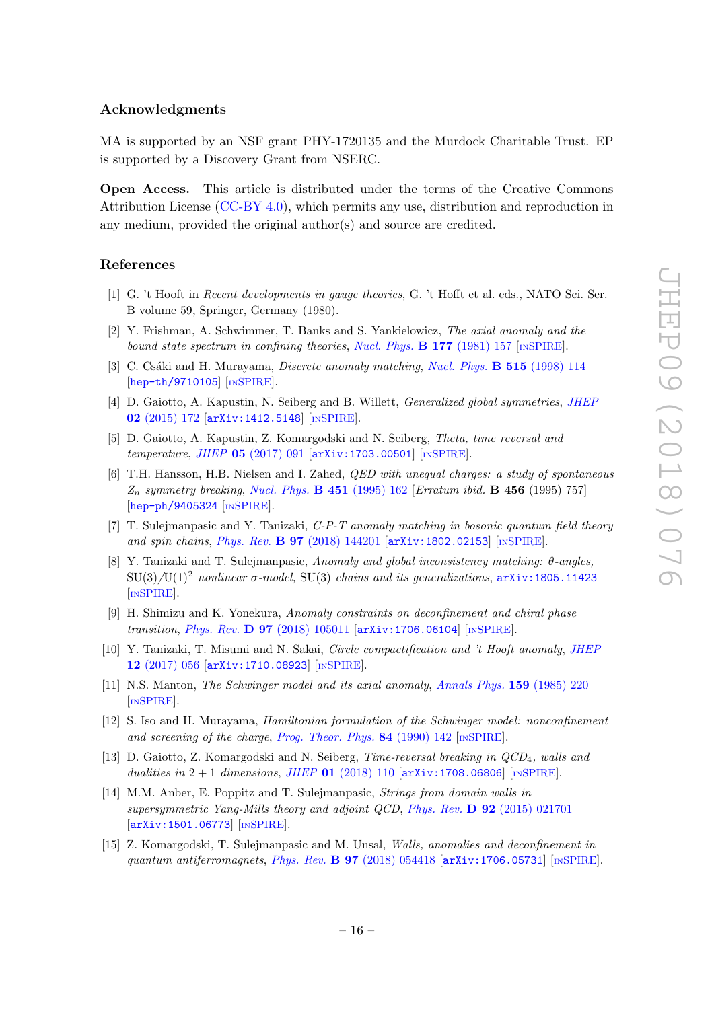### Acknowledgments

MA is supported by an NSF grant PHY-1720135 and the Murdock Charitable Trust. EP is supported by a Discovery Grant from NSERC.

Open Access. This article is distributed under the terms of the Creative Commons Attribution License [\(CC-BY 4.0\)](https://creativecommons.org/licenses/by/4.0/), which permits any use, distribution and reproduction in any medium, provided the original author(s) and source are credited.

#### References

- <span id="page-17-0"></span>[1] G. 't Hooft in Recent developments in gauge theories, G. 't Hofft et al. eds., NATO Sci. Ser. B volume 59, Springer, Germany (1980).
- <span id="page-17-1"></span>[2] Y. Frishman, A. Schwimmer, T. Banks and S. Yankielowicz, The axial anomaly and the bound state spectrum in confining theories, [Nucl. Phys.](https://doi.org/10.1016/0550-3213(81)90268-6)  $B$  177 (1981) 157 [IN[SPIRE](https://inspirehep.net/search?p=find+J+%22Nucl.Phys.,B177,157%22)].
- <span id="page-17-2"></span>[3] C. Csáki and H. Murayama, *Discrete anomaly matching*, *[Nucl. Phys.](https://doi.org/10.1016/S0550-3213(97)00839-0)* **B 515** (1998) 114 [[hep-th/9710105](https://arxiv.org/abs/hep-th/9710105)] [IN[SPIRE](https://inspirehep.net/search?p=find+EPRINT+hep-th/9710105)].
- <span id="page-17-3"></span>[4] D. Gaiotto, A. Kapustin, N. Seiberg and B. Willett, *Generalized global symmetries*, *[JHEP](https://doi.org/10.1007/JHEP02(2015)172)* 02 [\(2015\) 172](https://doi.org/10.1007/JHEP02(2015)172) [[arXiv:1412.5148](https://arxiv.org/abs/1412.5148)] [IN[SPIRE](https://inspirehep.net/search?p=find+EPRINT+arXiv:1412.5148)].
- <span id="page-17-4"></span>[5] D. Gaiotto, A. Kapustin, Z. Komargodski and N. Seiberg, Theta, time reversal and temperature, JHEP 05 [\(2017\) 091](https://doi.org/10.1007/JHEP05(2017)091) [[arXiv:1703.00501](https://arxiv.org/abs/1703.00501)] [IN[SPIRE](https://inspirehep.net/search?p=find+EPRINT+arXiv:1703.00501)].
- <span id="page-17-12"></span>[6] T.H. Hansson, H.B. Nielsen and I. Zahed, QED with unequal charges: a study of spontaneous  $Z_n$  symmetry breaking, [Nucl. Phys.](https://doi.org/10.1016/0550-3213(95)90035-7) B 451 (1995) 162 [Erratum ibid. B 456 (1995) 757] [[hep-ph/9405324](https://arxiv.org/abs/hep-ph/9405324) [IN[SPIRE](https://inspirehep.net/search?p=find+J+NUPHA,B451,162)].
- <span id="page-17-5"></span>[7] T. Sulejmanpasic and Y. Tanizaki, C-P-T anomaly matching in bosonic quantum field theory and spin chains, Phys. Rev. B 97 [\(2018\) 144201](https://doi.org/10.1103/PhysRevB.97.144201) [[arXiv:1802.02153](https://arxiv.org/abs/1802.02153)] [IN[SPIRE](https://inspirehep.net/search?p=find+EPRINT+arXiv:1802.02153)].
- [8] Y. Tanizaki and T. Sulejmanpasic, Anomaly and global inconsistency matching: θ-angles,  $SU(3)/U(1)^2$  nonlinear σ-model,  $SU(3)$  chains and its generalizations,  $arXiv:1805.11423$ [IN[SPIRE](https://inspirehep.net/search?p=find+EPRINT+arXiv:1805.11423)].
- <span id="page-17-13"></span>[9] H. Shimizu and K. Yonekura, Anomaly constraints on deconfinement and chiral phase transition, *Phys. Rev.* **D 97** [\(2018\) 105011](https://doi.org/10.1103/PhysRevD.97.105011) [[arXiv:1706.06104](https://arxiv.org/abs/1706.06104)] [IN[SPIRE](https://inspirehep.net/search?p=find+EPRINT+arXiv:1706.06104)].
- <span id="page-17-6"></span>[10] Y. Tanizaki, T. Misumi and N. Sakai, Circle compactification and 't Hooft anomaly, [JHEP](https://doi.org/10.1007/JHEP12(2017)056) 12 [\(2017\) 056](https://doi.org/10.1007/JHEP12(2017)056) [[arXiv:1710.08923](https://arxiv.org/abs/1710.08923)] [IN[SPIRE](https://inspirehep.net/search?p=find+EPRINT+arXiv:1710.08923)].
- <span id="page-17-7"></span>[11] N.S. Manton, The Schwinger model and its axial anomaly, [Annals Phys.](https://doi.org/10.1016/0003-4916(85)90199-X) 159 (1985) 220 [IN[SPIRE](https://inspirehep.net/search?p=find+J+%22AnnalsPhys.,159,220%22)].
- <span id="page-17-8"></span>[12] S. Iso and H. Murayama, Hamiltonian formulation of the Schwinger model: nonconfinement and screening of the charge, [Prog. Theor. Phys.](https://doi.org/10.1143/PTP.84.142) 84 (1990) 142 [IN[SPIRE](https://inspirehep.net/search?p=find+J+%22Prog.Theor.Phys.,84,142%22)].
- <span id="page-17-9"></span>[13] D. Gaiotto, Z. Komargodski and N. Seiberg, Time-reversal breaking in  $QCD<sub>4</sub>$ , walls and dualities in  $2 + 1$  dimensions, JHEP 01 [\(2018\) 110](https://doi.org/10.1007/JHEP01(2018)110)  $\left[ \text{arXiv}:1708.06806\right]$   $\left[ \text{nsPIRE}\right]$ .
- <span id="page-17-10"></span>[14] M.M. Anber, E. Poppitz and T. Sulejmanpasic, Strings from domain walls in supersymmetric Yang-Mills theory and adjoint QCD, Phys. Rev. D 92 [\(2015\) 021701](https://doi.org/10.1103/PhysRevD.92.021701) [[arXiv:1501.06773](https://arxiv.org/abs/1501.06773)] [IN[SPIRE](https://inspirehep.net/search?p=find+EPRINT+arXiv:1501.06773)].
- <span id="page-17-11"></span>[15] Z. Komargodski, T. Sulejmanpasic and M. Unsal, Walls, anomalies and deconfinement in quantum antiferromagnets, Phys. Rev. B  $97$  [\(2018\) 054418](https://doi.org/10.1103/PhysRevB.97.054418)  $\left[$ [arXiv:1706.05731](https://arxiv.org/abs/1706.05731) $\right]$   $\left[$ IN[SPIRE](https://inspirehep.net/search?p=find+EPRINT+arXiv:1706.05731) $\right]$ .